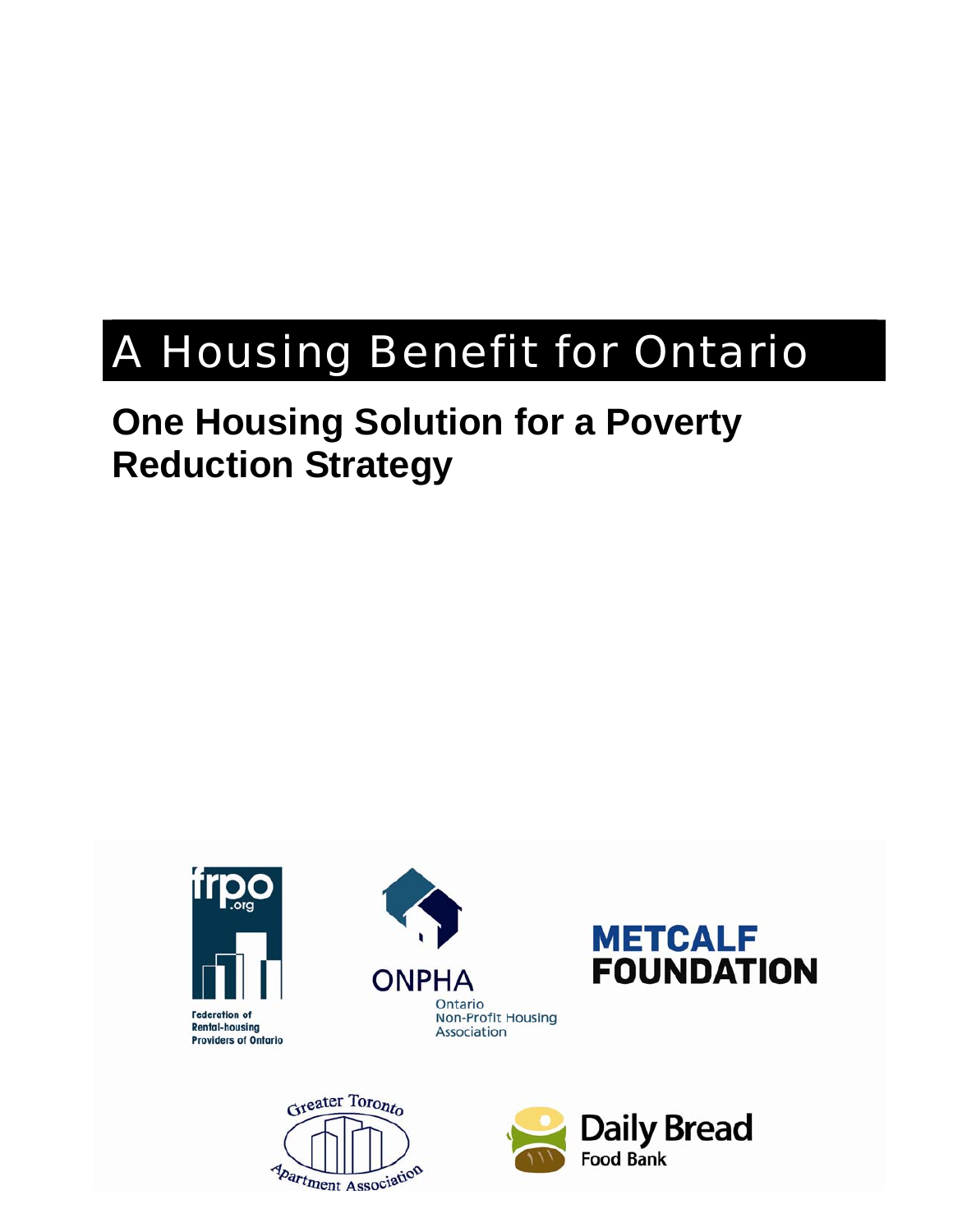# A Housing Benefit for Ontario

# **One Housing Solution for a Poverty Reduction Strategy**









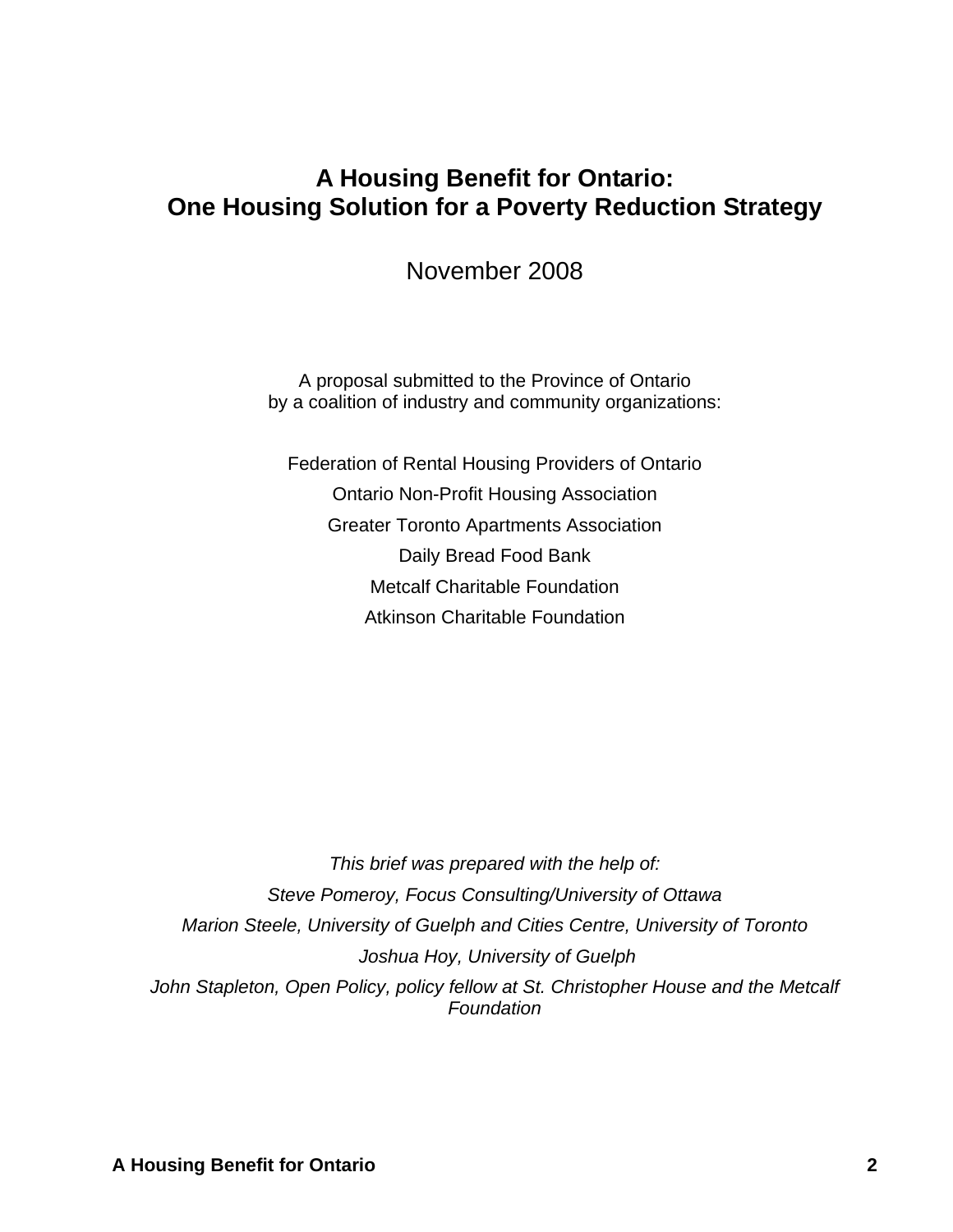## **A Housing Benefit for Ontario: One Housing Solution for a Poverty Reduction Strategy**

November 2008

A proposal submitted to the Province of Ontario by a coalition of industry and community organizations:

Federation of Rental Housing Providers of Ontario Ontario Non-Profit Housing Association Greater Toronto Apartments Association Daily Bread Food Bank Metcalf Charitable Foundation Atkinson Charitable Foundation

*This brief was prepared with the help of: Steve Pomeroy, Focus Consulting/University of Ottawa Marion Steele, University of Guelph and Cities Centre, University of Toronto Joshua Hoy, University of Guelph*  John Stapleton, Open Policy, policy fellow at St. Christopher House and the Metcalf *Foundation*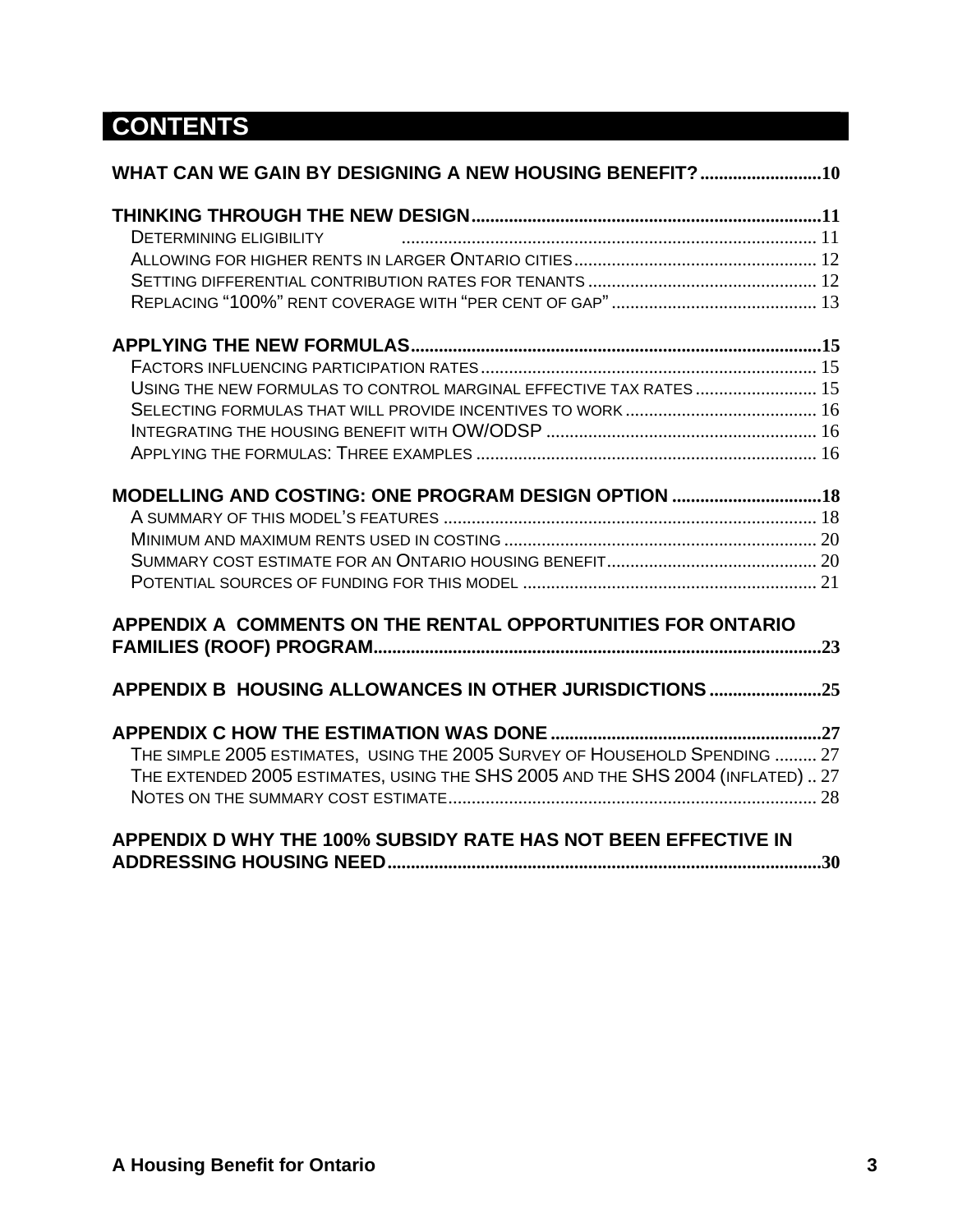# **CONTENTS**

| WHAT CAN WE GAIN BY DESIGNING A NEW HOUSING BENEFIT?10                                                         |  |
|----------------------------------------------------------------------------------------------------------------|--|
|                                                                                                                |  |
| DETERMINING ELIGIBILITY FILLER CONTINUES AND ACCORDING A CONTINUES AND THE CONTINUES AND THE CONTINUES AND THE |  |
|                                                                                                                |  |
|                                                                                                                |  |
|                                                                                                                |  |
|                                                                                                                |  |
|                                                                                                                |  |
| USING THE NEW FORMULAS TO CONTROL MARGINAL EFFECTIVE TAX RATES 15                                              |  |
|                                                                                                                |  |
|                                                                                                                |  |
|                                                                                                                |  |
| MODELLING AND COSTING: ONE PROGRAM DESIGN OPTION 18                                                            |  |
|                                                                                                                |  |
|                                                                                                                |  |
|                                                                                                                |  |
|                                                                                                                |  |
| APPENDIX A COMMENTS ON THE RENTAL OPPORTUNITIES FOR ONTARIO                                                    |  |
|                                                                                                                |  |
| APPENDIX B HOUSING ALLOWANCES IN OTHER JURISDICTIONS 25                                                        |  |
|                                                                                                                |  |
| THE SIMPLE 2005 ESTIMATES, USING THE 2005 SURVEY OF HOUSEHOLD SPENDING  27                                     |  |
| THE EXTENDED 2005 ESTIMATES, USING THE SHS 2005 AND THE SHS 2004 (INFLATED)  27                                |  |
|                                                                                                                |  |
| APPENDIX D WHY THE 100% SUBSIDY RATE HAS NOT BEEN EFFECTIVE IN                                                 |  |
|                                                                                                                |  |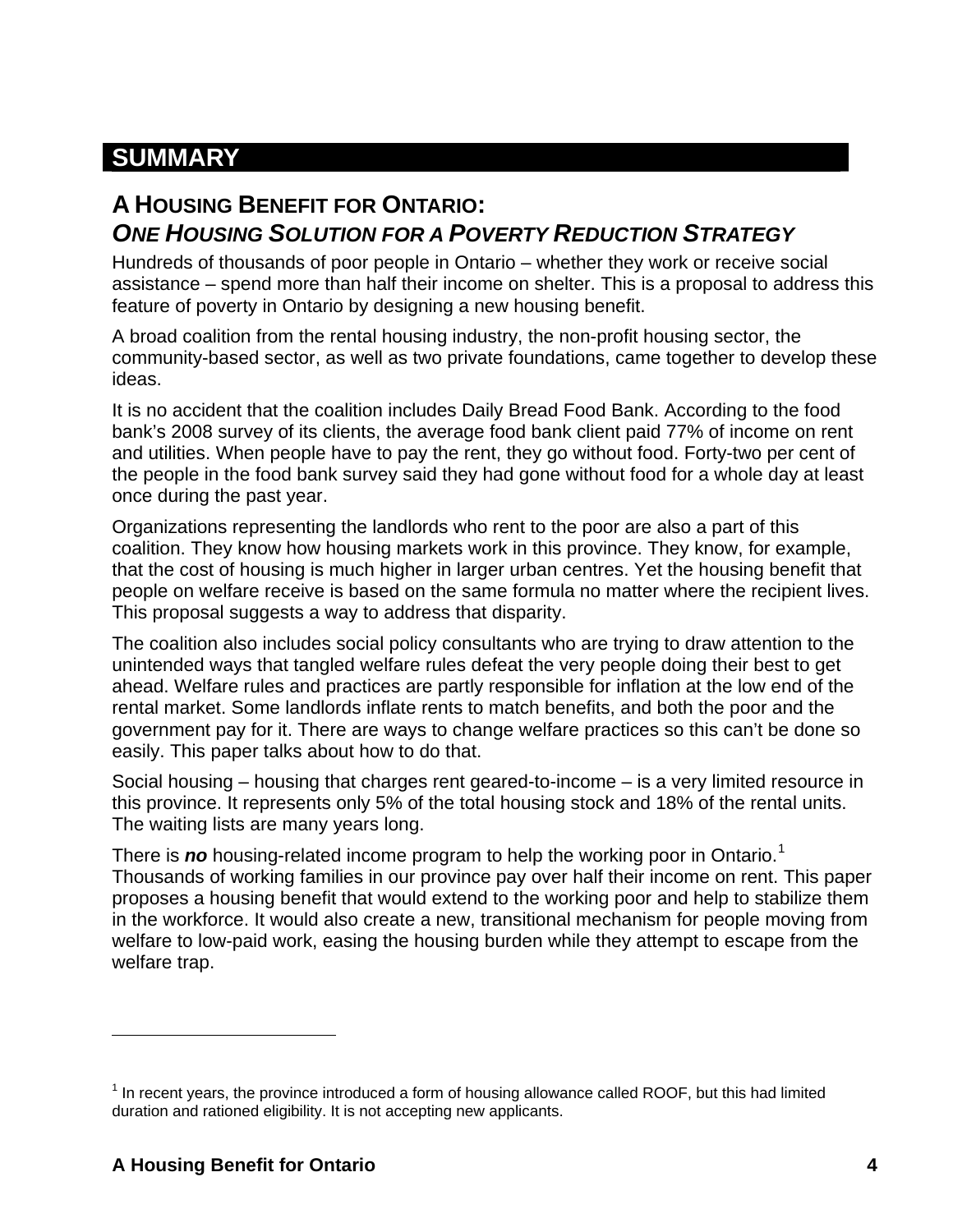# **SUMMARY**

## **A HOUSING BENEFIT FOR ONTARIO:** *ONE HOUSING SOLUTION FOR A POVERTY REDUCTION STRATEGY*

Hundreds of thousands of poor people in Ontario – whether they work or receive social assistance – spend more than half their income on shelter. This is a proposal to address this feature of poverty in Ontario by designing a new housing benefit.

A broad coalition from the rental housing industry, the non-profit housing sector, the community-based sector, as well as two private foundations, came together to develop these ideas.

It is no accident that the coalition includes Daily Bread Food Bank. According to the food bank's 2008 survey of its clients, the average food bank client paid 77% of income on rent and utilities. When people have to pay the rent, they go without food. Forty-two per cent of the people in the food bank survey said they had gone without food for a whole day at least once during the past year.

Organizations representing the landlords who rent to the poor are also a part of this coalition. They know how housing markets work in this province. They know, for example, that the cost of housing is much higher in larger urban centres. Yet the housing benefit that people on welfare receive is based on the same formula no matter where the recipient lives. This proposal suggests a way to address that disparity.

The coalition also includes social policy consultants who are trying to draw attention to the unintended ways that tangled welfare rules defeat the very people doing their best to get ahead. Welfare rules and practices are partly responsible for inflation at the low end of the rental market. Some landlords inflate rents to match benefits, and both the poor and the government pay for it. There are ways to change welfare practices so this can't be done so easily. This paper talks about how to do that.

Social housing – housing that charges rent geared-to-income – is a very limited resource in this province. It represents only 5% of the total housing stock and 18% of the rental units. The waiting lists are many years long.

There is **no** housing-related income program to help the working poor in Ontario.<sup>[1](#page-3-0)</sup> Thousands of working families in our province pay over half their income on rent. This paper proposes a housing benefit that would extend to the working poor and help to stabilize them in the workforce. It would also create a new, transitional mechanism for people moving from welfare to low-paid work, easing the housing burden while they attempt to escape from the welfare trap.

<span id="page-3-0"></span> $1$  In recent years, the province introduced a form of housing allowance called ROOF, but this had limited duration and rationed eligibility. It is not accepting new applicants.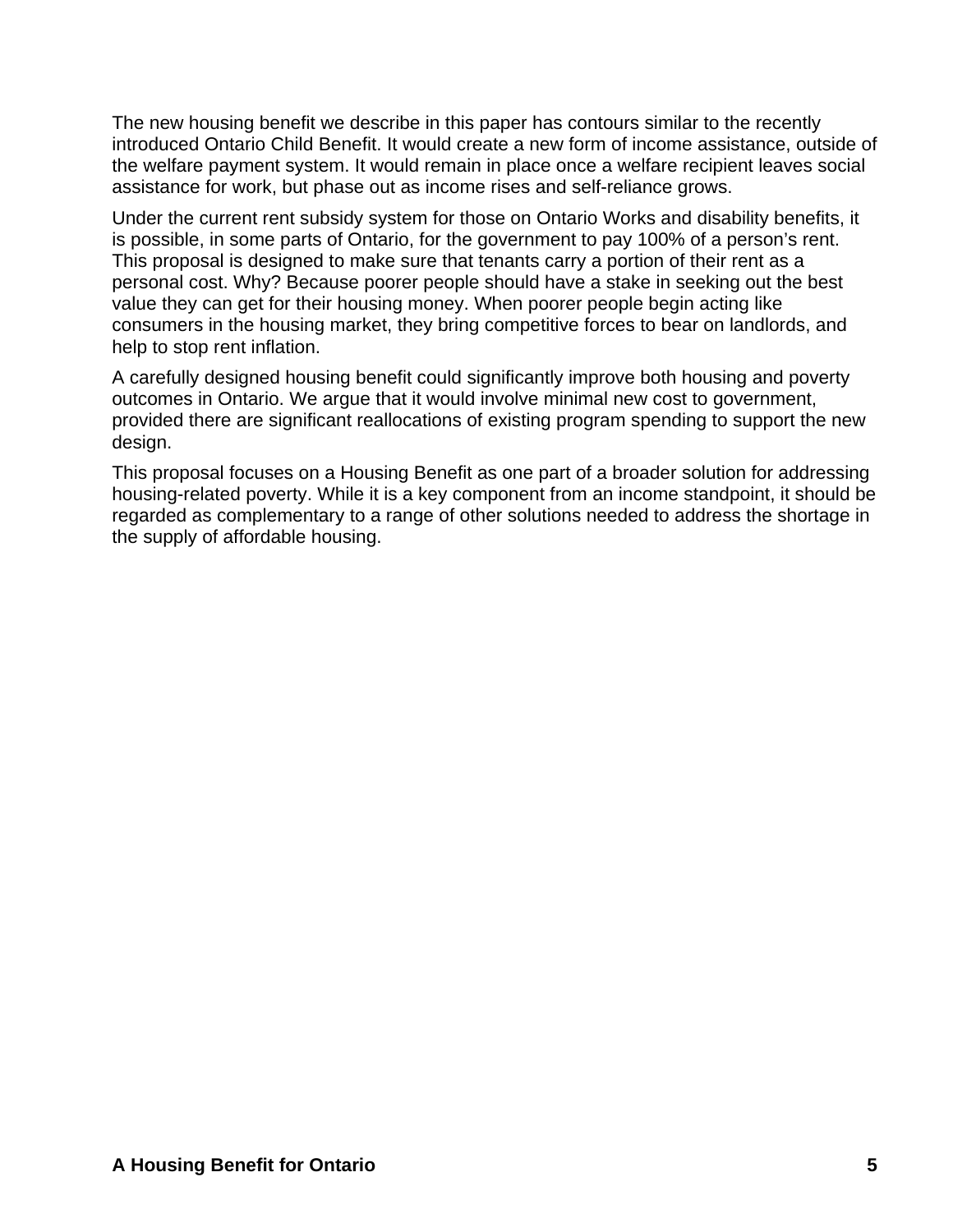The new housing benefit we describe in this paper has contours similar to the recently introduced Ontario Child Benefit. It would create a new form of income assistance, outside of the welfare payment system. It would remain in place once a welfare recipient leaves social assistance for work, but phase out as income rises and self-reliance grows.

Under the current rent subsidy system for those on Ontario Works and disability benefits, it is possible, in some parts of Ontario, for the government to pay 100% of a person's rent. This proposal is designed to make sure that tenants carry a portion of their rent as a personal cost. Why? Because poorer people should have a stake in seeking out the best value they can get for their housing money. When poorer people begin acting like consumers in the housing market, they bring competitive forces to bear on landlords, and help to stop rent inflation.

A carefully designed housing benefit could significantly improve both housing and poverty outcomes in Ontario. We argue that it would involve minimal new cost to government, provided there are significant reallocations of existing program spending to support the new design.

This proposal focuses on a Housing Benefit as one part of a broader solution for addressing housing-related poverty. While it is a key component from an income standpoint, it should be regarded as complementary to a range of other solutions needed to address the shortage in the supply of affordable housing.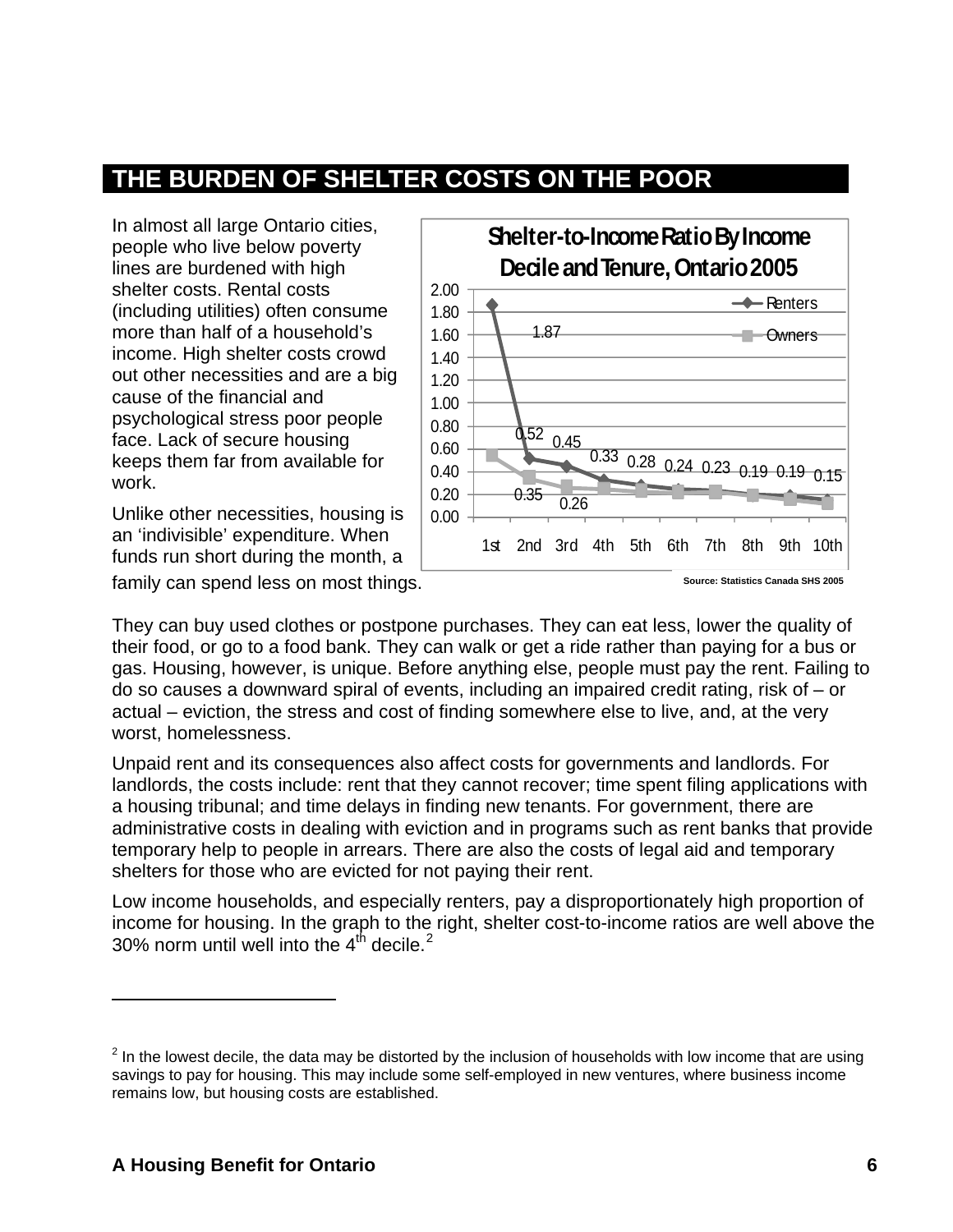# **THE BURDEN OF SHELTER COSTS ON THE POOR**

In almost all large Ontario cities, people who live below poverty lines are burdened with high shelter costs. Rental costs (including utilities) often consume more than half of a household's income. High shelter costs crowd out other necessities and are a big cause of the financial and psychological stress poor people face. Lack of secure housing keeps them far from available for work.

Unlike other necessities, housing is an 'indivisible' expenditure. When funds run short during the month, a



family can spend less on most things.

They can buy used clothes or postpone purchases. They can eat less, lower the quality of their food, or go to a food bank. They can walk or get a ride rather than paying for a bus or gas. Housing, however, is unique. Before anything else, people must pay the rent. Failing to do so causes a downward spiral of events, including an impaired credit rating, risk of – or actual – eviction, the stress and cost of finding somewhere else to live, and, at the very worst, homelessness.

Unpaid rent and its consequences also affect costs for governments and landlords. For landlords, the costs include: rent that they cannot recover; time spent filing applications with a housing tribunal; and time delays in finding new tenants. For government, there are administrative costs in dealing with eviction and in programs such as rent banks that provide temporary help to people in arrears. There are also the costs of legal aid and temporary shelters for those who are evicted for not paying their rent.

Low income households, and especially renters, pay a disproportionately high proportion of income for housing. In the graph to the right, shelter cost-to-income ratios are well above the 30% norm until well into the  $4<sup>th</sup>$  decile.<sup>[2](#page-5-0)</sup>

<span id="page-5-0"></span> $2$  In the lowest decile, the data may be distorted by the inclusion of households with low income that are using savings to pay for housing. This may include some self-employed in new ventures, where business income remains low, but housing costs are established.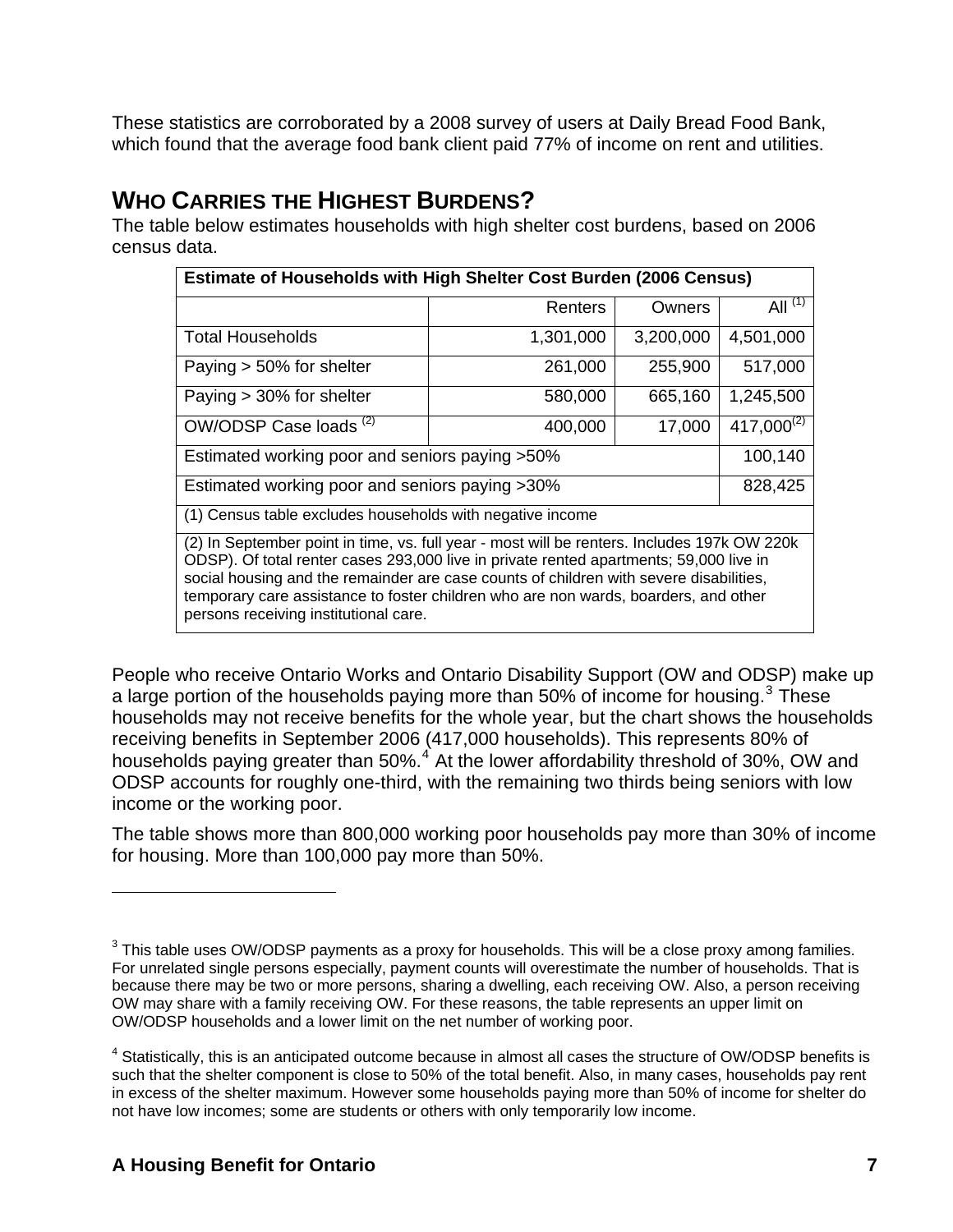These statistics are corroborated by a 2008 survey of users at Daily Bread Food Bank, which found that the average food bank client paid 77% of income on rent and utilities.

## **WHO CARRIES THE HIGHEST BURDENS?**

The table below estimates households with high shelter cost burdens, based on 2006 census data.

| <b>Estimate of Households with High Shelter Cost Burden (2006 Census)</b>                                                                                                                                                                                                                                                                                                                                       |                                                            |           |                 |  |  |  |
|-----------------------------------------------------------------------------------------------------------------------------------------------------------------------------------------------------------------------------------------------------------------------------------------------------------------------------------------------------------------------------------------------------------------|------------------------------------------------------------|-----------|-----------------|--|--|--|
|                                                                                                                                                                                                                                                                                                                                                                                                                 | Renters                                                    | Owners    | All $^{(1)}$    |  |  |  |
| Total Households                                                                                                                                                                                                                                                                                                                                                                                                | 1,301,000                                                  | 3,200,000 | 4,501,000       |  |  |  |
| Paying $> 50\%$ for shelter                                                                                                                                                                                                                                                                                                                                                                                     | 261,000                                                    | 255,900   | 517,000         |  |  |  |
| Paying $> 30\%$ for shelter                                                                                                                                                                                                                                                                                                                                                                                     | 580,000                                                    | 665,160   | 1,245,500       |  |  |  |
| OW/ODSP Case loads <sup>(2)</sup>                                                                                                                                                                                                                                                                                                                                                                               | 400,000                                                    | 17,000    | $417,000^{(2)}$ |  |  |  |
|                                                                                                                                                                                                                                                                                                                                                                                                                 | Estimated working poor and seniors paying >50%<br>100,140  |           |                 |  |  |  |
|                                                                                                                                                                                                                                                                                                                                                                                                                 | Estimated working poor and seniors paying > 30%<br>828,425 |           |                 |  |  |  |
| (1) Census table excludes households with negative income                                                                                                                                                                                                                                                                                                                                                       |                                                            |           |                 |  |  |  |
| (2) In September point in time, vs. full year - most will be renters. Includes 197k OW 220k<br>ODSP). Of total renter cases 293,000 live in private rented apartments; 59,000 live in<br>social housing and the remainder are case counts of children with severe disabilities,<br>temporary care assistance to foster children who are non wards, boarders, and other<br>persons receiving institutional care. |                                                            |           |                 |  |  |  |

People who receive Ontario Works and Ontario Disability Support (OW and ODSP) make up a large portion of the households paying more than 50% of income for housing. $3$  These households may not receive benefits for the whole year, but the chart shows the households receiving benefits in September 2006 (417,000 households). This represents 80% of households paying greater than 50%.<sup>[4](#page-6-1)</sup> At the lower affordability threshold of 30%, OW and ODSP accounts for roughly one-third, with the remaining two thirds being seniors with low income or the working poor.

The table shows more than 800,000 working poor households pay more than 30% of income for housing. More than 100,000 pay more than 50%.

<span id="page-6-0"></span> $3$  This table uses OW/ODSP payments as a proxy for households. This will be a close proxy among families. For unrelated single persons especially, payment counts will overestimate the number of households. That is because there may be two or more persons, sharing a dwelling, each receiving OW. Also, a person receiving OW may share with a family receiving OW. For these reasons, the table represents an upper limit on OW/ODSP households and a lower limit on the net number of working poor.

<span id="page-6-1"></span><sup>&</sup>lt;sup>4</sup> Statistically, this is an anticipated outcome because in almost all cases the structure of OW/ODSP benefits is such that the shelter component is close to 50% of the total benefit. Also, in many cases, households pay rent in excess of the shelter maximum. However some households paying more than 50% of income for shelter do not have low incomes; some are students or others with only temporarily low income.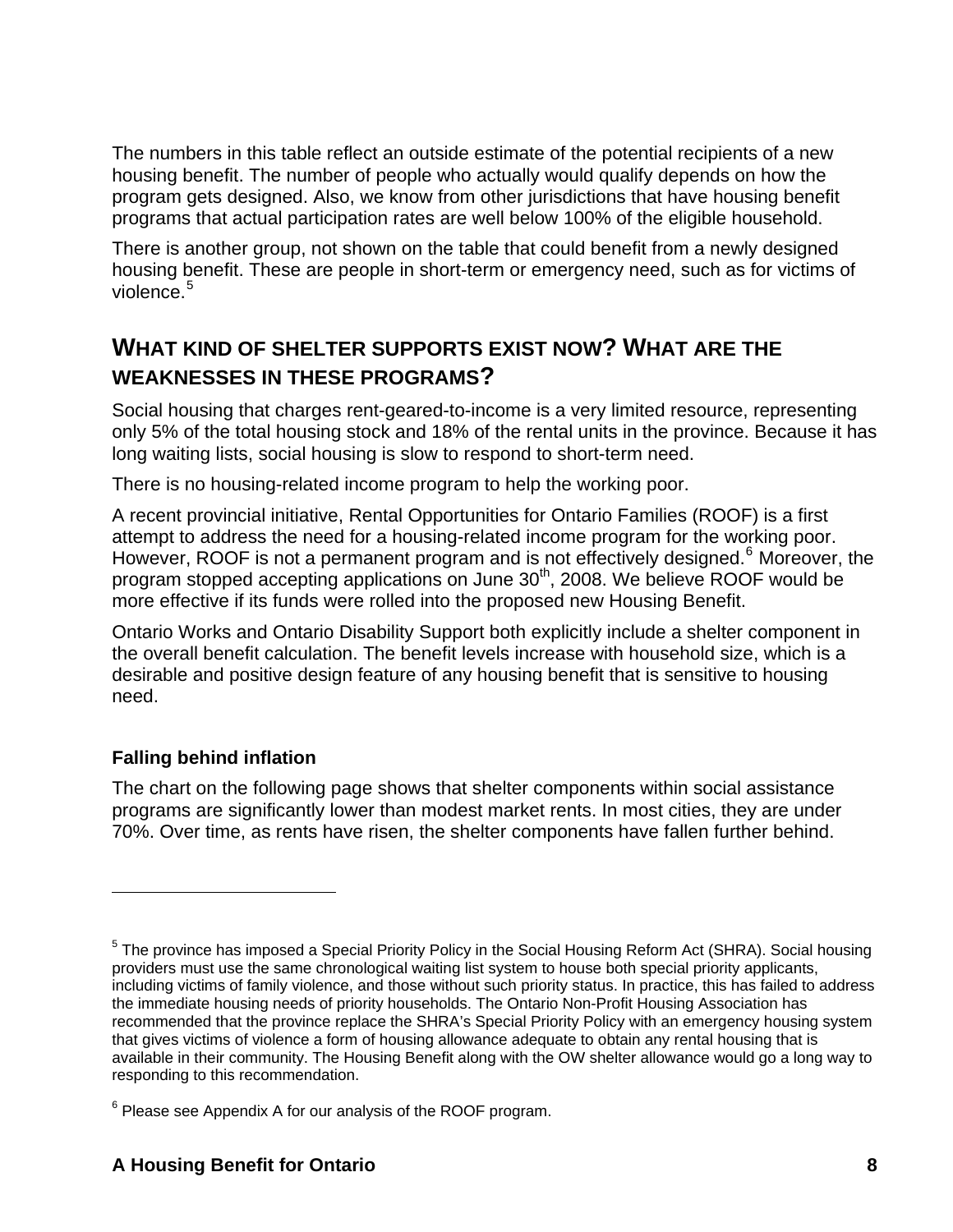The numbers in this table reflect an outside estimate of the potential recipients of a new housing benefit. The number of people who actually would qualify depends on how the program gets designed. Also, we know from other jurisdictions that have housing benefit programs that actual participation rates are well below 100% of the eligible household.

There is another group, not shown on the table that could benefit from a newly designed housing benefit. These are people in short-term or emergency need, such as for victims of violence. $5$ 

## **WHAT KIND OF SHELTER SUPPORTS EXIST NOW? WHAT ARE THE WEAKNESSES IN THESE PROGRAMS?**

Social housing that charges rent-geared-to-income is a very limited resource, representing only 5% of the total housing stock and 18% of the rental units in the province. Because it has long waiting lists, social housing is slow to respond to short-term need.

There is no housing-related income program to help the working poor.

A recent provincial initiative, Rental Opportunities for Ontario Families (ROOF) is a first attempt to address the need for a housing-related income program for the working poor. However, ROOF is not a permanent program and is not effectively designed.<sup>[6](#page-7-1)</sup> Moreover, the program stopped accepting applications on June 30<sup>th</sup>, 2008. We believe ROOF would be more effective if its funds were rolled into the proposed new Housing Benefit.

Ontario Works and Ontario Disability Support both explicitly include a shelter component in the overall benefit calculation. The benefit levels increase with household size, which is a desirable and positive design feature of any housing benefit that is sensitive to housing need.

## **Falling behind inflation**

 $\overline{a}$ 

The chart on the following page shows that shelter components within social assistance programs are significantly lower than modest market rents. In most cities, they are under 70%. Over time, as rents have risen, the shelter components have fallen further behind.

<span id="page-7-0"></span><sup>&</sup>lt;sup>5</sup> The province has imposed a Special Priority Policy in the Social Housing Reform Act (SHRA). Social housing providers must use the same chronological waiting list system to house both special priority applicants, including victims of family violence, and those without such priority status. In practice, this has failed to address the immediate housing needs of priority households. The Ontario Non-Profit Housing Association has recommended that the province replace the SHRA's Special Priority Policy with an emergency housing system that gives victims of violence a form of housing allowance adequate to obtain any rental housing that is available in their community. The Housing Benefit along with the OW shelter allowance would go a long way to responding to this recommendation.

<span id="page-7-1"></span> $6$  Please see Appendix A for our analysis of the ROOF program.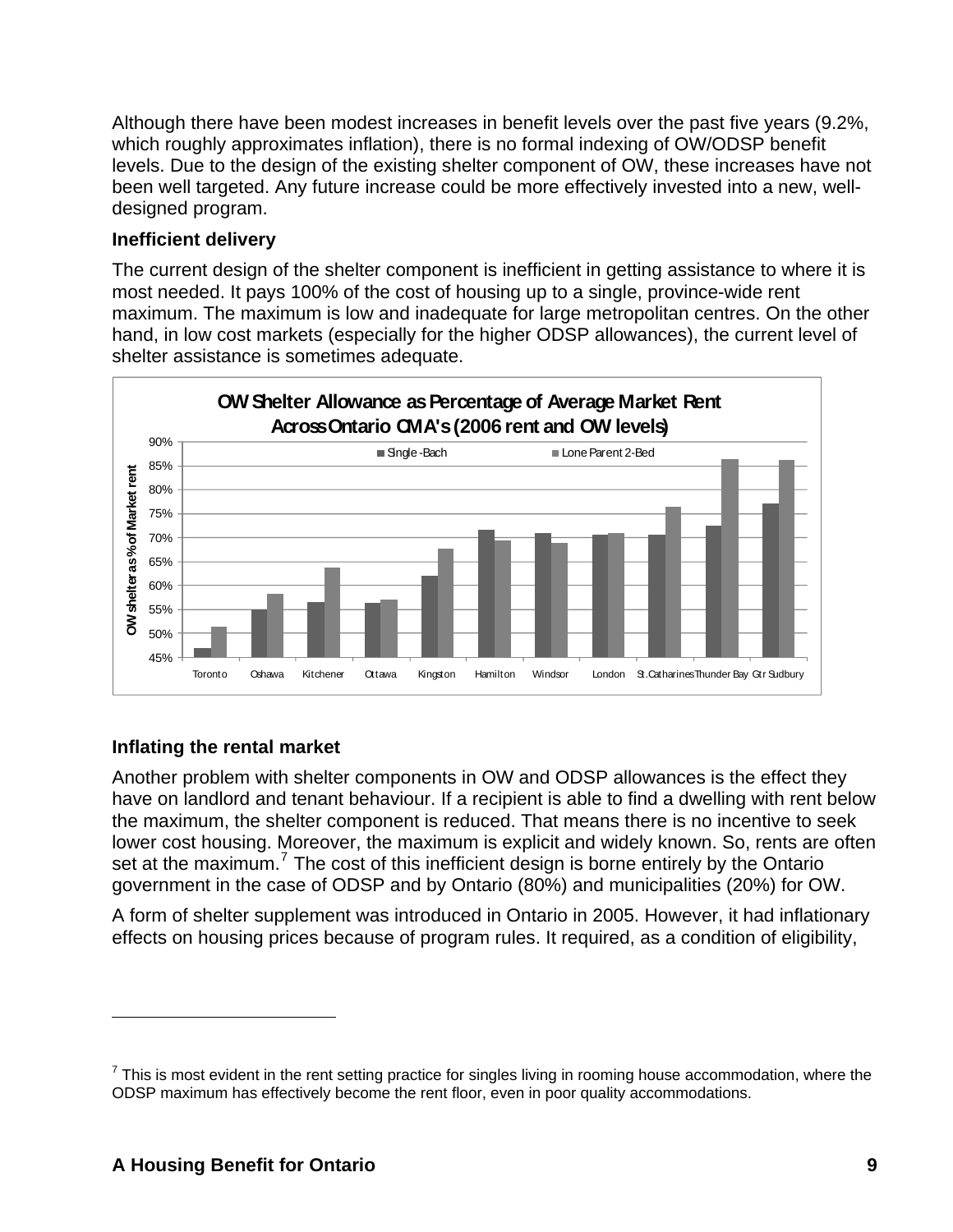Although there have been modest increases in benefit levels over the past five years (9.2%, which roughly approximates inflation), there is no formal indexing of OW/ODSP benefit levels. Due to the design of the existing shelter component of OW, these increases have not been well targeted. Any future increase could be more effectively invested into a new, welldesigned program.

#### **Inefficient delivery**

The current design of the shelter component is inefficient in getting assistance to where it is most needed. It pays 100% of the cost of housing up to a single, province-wide rent maximum. The maximum is low and inadequate for large metropolitan centres. On the other hand, in low cost markets (especially for the higher ODSP allowances), the current level of shelter assistance is sometimes adequate.



#### **Inflating the rental market**

Another problem with shelter components in OW and ODSP allowances is the effect they have on landlord and tenant behaviour. If a recipient is able to find a dwelling with rent below the maximum, the shelter component is reduced. That means there is no incentive to seek lower cost housing. Moreover, the maximum is explicit and widely known. So, rents are often set at the maximum.<sup>[7](#page-8-0)</sup> The cost of this inefficient design is borne entirely by the Ontario government in the case of ODSP and by Ontario (80%) and municipalities (20%) for OW.

A form of shelter supplement was introduced in Ontario in 2005. However, it had inflationary effects on housing prices because of program rules. It required, as a condition of eligibility,

<span id="page-8-0"></span> $<sup>7</sup>$  This is most evident in the rent setting practice for singles living in rooming house accommodation, where the</sup> ODSP maximum has effectively become the rent floor, even in poor quality accommodations.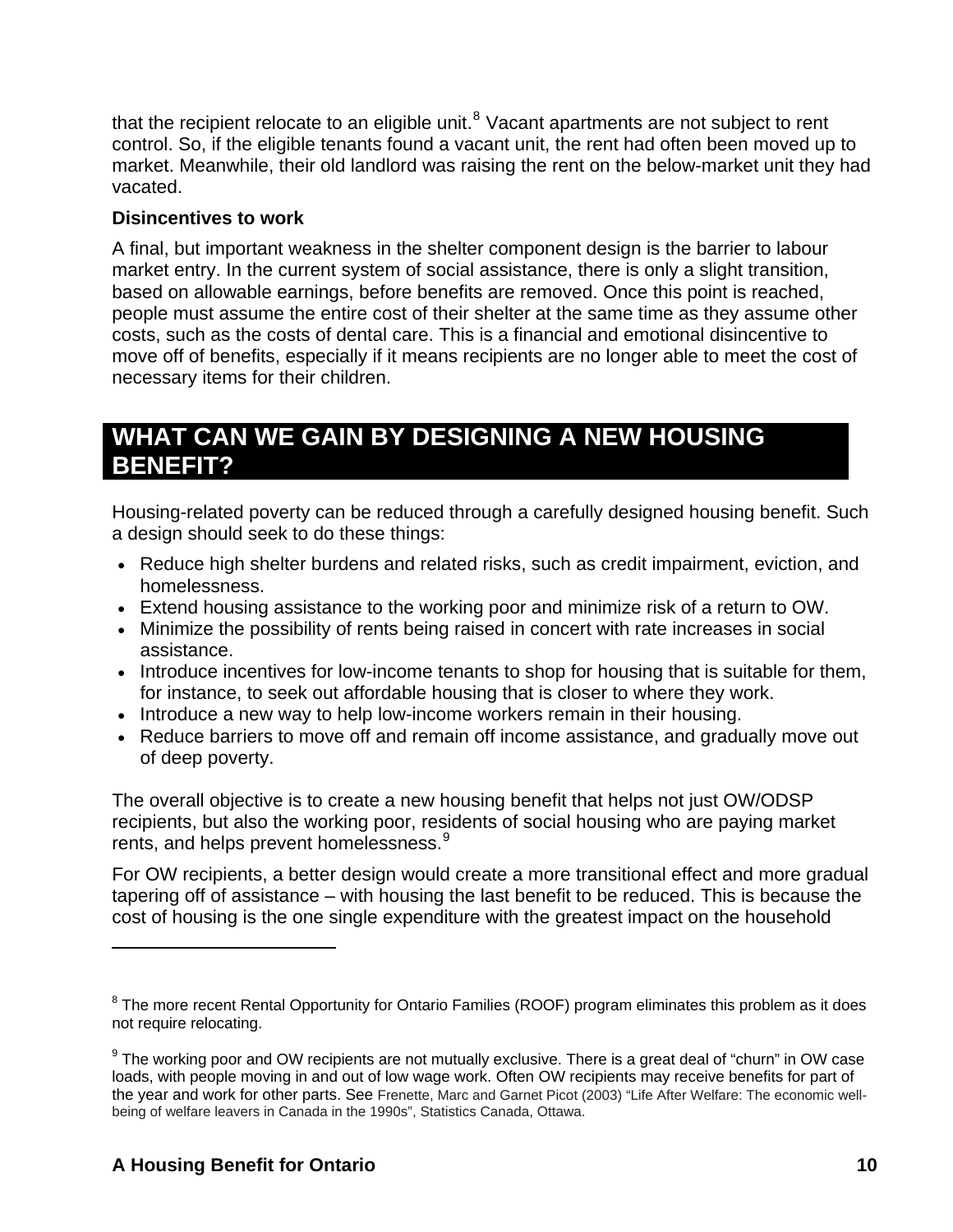<span id="page-9-0"></span>that the recipient relocate to an eligible unit.<sup>[8](#page-9-1)</sup> Vacant apartments are not subject to rent control. So, if the eligible tenants found a vacant unit, the rent had often been moved up to market. Meanwhile, their old landlord was raising the rent on the below-market unit they had vacated.

#### **Disincentives to work**

A final, but important weakness in the shelter component design is the barrier to labour market entry. In the current system of social assistance, there is only a slight transition, based on allowable earnings, before benefits are removed. Once this point is reached, people must assume the entire cost of their shelter at the same time as they assume other costs, such as the costs of dental care. This is a financial and emotional disincentive to move off of benefits, especially if it means recipients are no longer able to meet the cost of necessary items for their children.

# **WHAT CAN WE GAIN BY DESIGNING A NEW HOUSING BENEFIT?**

Housing-related poverty can be reduced through a carefully designed housing benefit. Such a design should seek to do these things:

- Reduce high shelter burdens and related risks, such as credit impairment, eviction, and homelessness.
- Extend housing assistance to the working poor and minimize risk of a return to OW.
- Minimize the possibility of rents being raised in concert with rate increases in social assistance.
- Introduce incentives for low-income tenants to shop for housing that is suitable for them, for instance, to seek out affordable housing that is closer to where they work.
- Introduce a new way to help low-income workers remain in their housing.
- Reduce barriers to move off and remain off income assistance, and gradually move out of deep poverty.

The overall objective is to create a new housing benefit that helps not just OW/ODSP recipients, but also the working poor, residents of social housing who are paying market rents, and helps prevent homelessness.<sup>[9](#page-9-2)</sup>

For OW recipients, a better design would create a more transitional effect and more gradual tapering off of assistance – with housing the last benefit to be reduced. This is because the cost of housing is the one single expenditure with the greatest impact on the household

<span id="page-9-1"></span> $8$  The more recent Rental Opportunity for Ontario Families (ROOF) program eliminates this problem as it does not require relocating.

<span id="page-9-2"></span> $^9$  The working poor and OW recipients are not mutually exclusive. There is a great deal of "churn" in OW case loads, with people moving in and out of low wage work. Often OW recipients may receive benefits for part of the year and work for other parts. See Frenette, Marc and Garnet Picot (2003) "Life After Welfare: The economic wellbeing of welfare leavers in Canada in the 1990s", Statistics Canada, Ottawa.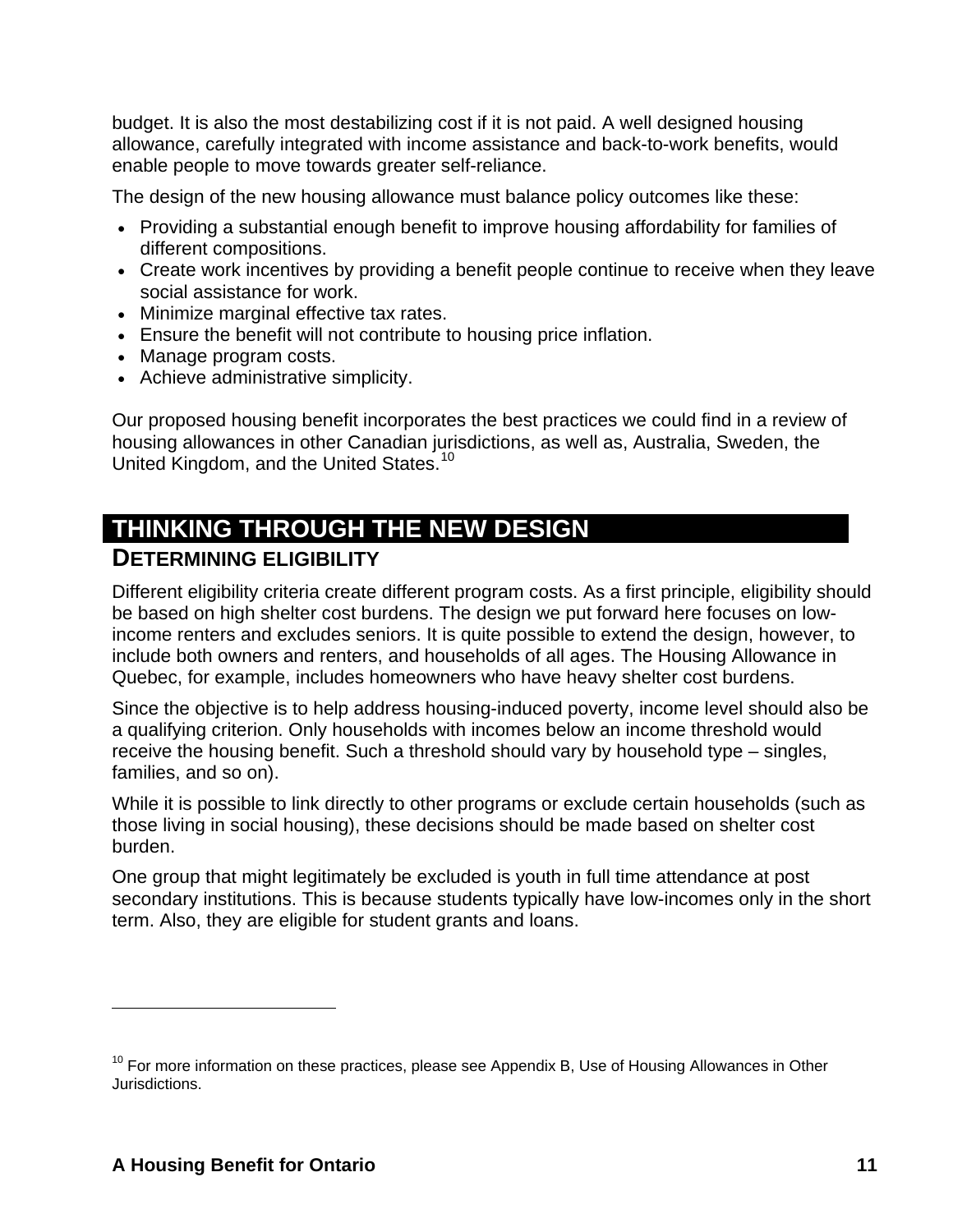<span id="page-10-0"></span>budget. It is also the most destabilizing cost if it is not paid. A well designed housing allowance, carefully integrated with income assistance and back-to-work benefits, wo uld enable people to move towards greater self-reliance.

The design of the new housing allowance must balanc e policy outcomes like these:

- Providing a substantial enough benefit to improve housing affordability for families of different compositions.
- Create work incentives by providing a benefit people continue to receive when they leave social assistance for work.
- Minimize marginal effective tax rates.
- Ensure the benefit will not contribute to housing price inflation.
- Manage program costs.
- Achieve administrative simplicity.

Our proposed housing benefit incorporates the best practices we could find in a review of housing allowances in other Canadian jurisdictions, as well as, Australia, Sweden, the United Kingdom, and the United States.<sup>[10](#page-10-1)</sup>

# **THINKING THROUGH THE NEW DESIGN**

## **DETERMINING ELIGIBILITY**

Different eligibility criteria create different program costs. As a first principle, eligibility should be based on high shelter cost burdens. The design we put forward here focuses on lowincome renters and excludes seniors. It is quite possible to extend the design, however, to include both owners and renters, and households of all ages. The Housing Allowance in Quebec, for example, includes homeowners who have heavy shelter cost burdens.

Since the objective is to help address housing-induced poverty, income level should also be a qualifying criterion. Only households with incomes below an income threshold would receive the housing benefit. Such a threshold should vary by household type – singles, families, and so on).

While it is possible to link directly to other programs or exclude certain households (such as those living in social housing), these decisions should be made based on shelter cost burden.

One group that might legitimately be excluded is youth in full time attendance at post secondary institutions. This is because students typically have low-incomes only in the short term. Also, they are eligible for student grants and loans.

<span id="page-10-1"></span> $10$  For more information on these practices, please see Appendix B, Use of Housing Allowances in Other Jurisdictions.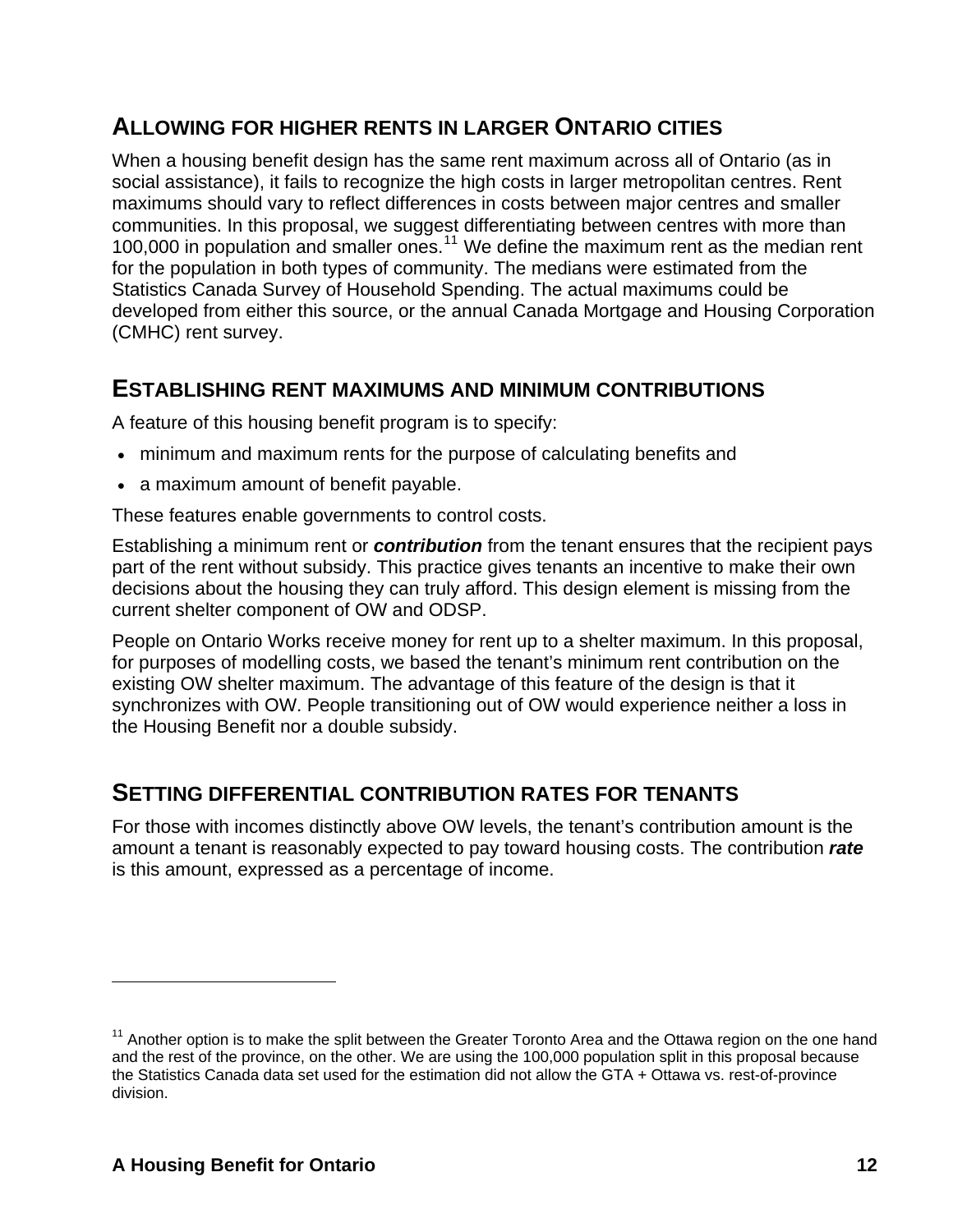## <span id="page-11-0"></span>**ALLOWING FOR HIGHER RENTS IN LARGER ONTARIO CITIES**

When a housing benefit design has the same rent maximum across all of Ontario (as in social assistance), it fails to recognize the high costs in larger metropolitan centres. Rent maximums should vary to reflect differences in costs between major centres and smaller communities. In this proposal, we suggest differentiating between centres with more than 100,000 in population and smaller ones.<sup>[11](#page-11-1)</sup> We define the maximum rent as the median rent for the population in both types of community. The medians were estimated from the Statistics Canada Survey of Household Spending. The actual maximums could be developed from either this source, or the annual Canada Mortgage and Housing Corporation (CMHC) rent survey.

## **ESTABLISHING RENT MAXIMUMS AND MINIMUM CONTRIBUTIONS**

A feature of this housing benefit program is to specify:

- minimum and maximum rents for the purpose of calculating benefits and
- a maximum amount of benefit payable.

These features enable governments to control costs.

Establishing a minimum rent or *contribution* from the tenant ensures that the recipient pays part of the rent without subsidy. This practice gives tenants an incentive to make their own decisions about the housing they can truly afford. This design element is missing from the current shelter component of OW and ODSP.

People on Ontario Works receive money for rent up to a shelter maximum. In this proposal, for purposes of modelling costs, we based the tenant's minimum rent contribution on the existing OW shelter maximum. The advantage of this feature of the design is that it synchronizes with OW. People transitioning out of OW would experience neither a loss in the Housing Benefit nor a double subsidy.

## **SETTING DIFFERENTIAL CONTRIBUTION RATES FOR TENANTS**

For those with incomes distinctly above OW levels, the tenant's contribution amount is the amount a tenant is reasonably expected to pay toward housing costs. The contribution *rate* is this amount, expressed as a percentage of income.

<span id="page-11-1"></span> $11$  Another option is to make the split between the Greater Toronto Area and the Ottawa region on the one hand and the rest of the province, on the other. We are using the 100,000 population split in this proposal because the Statistics Canada data set used for the estimation did not allow the GTA + Ottawa vs. rest-of-province division.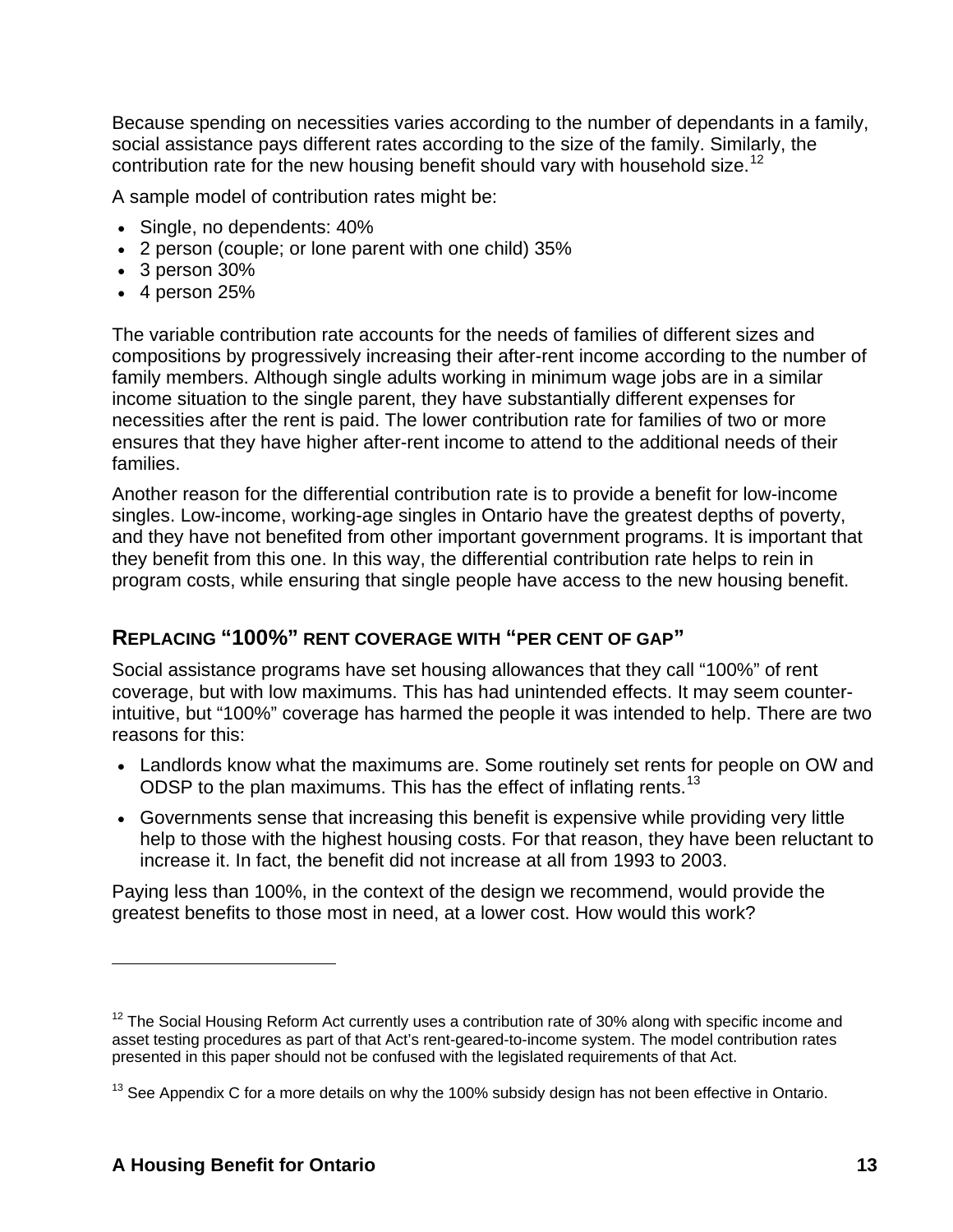<span id="page-12-0"></span>Because spending on necessities varies according to the number of dependants in a family, social assistance pays different rates according to the size of the family. Similarly, the contribution rate for the new housing benefit should vary with household size.<sup>[12](#page-12-1)</sup>

A sample model of contribution rates might be:

- Single, no dependents: 40%
- 2 person (couple; or lone parent with one child) 35%
- 3 person 30%
- 4 person 25%

The variable contribution rate accounts for the needs of families of different sizes and compositions by progressively increasing their after-rent income according to the number of family members. Although single adults working in minimum wage jobs are in a similar income situation to the single parent, they have substantially different expenses for necessities after the rent is paid. The lower contribution rate for families of two or more ensures that they have higher after-rent income to attend to the additional needs of their families.

Another reason for the differential contribution rate is to provide a benefit for low-income singles. Low-income, working-age singles in Ontario have the greatest depths of poverty, and they have not benefited from other important government programs. It is important that they benefit from this one. In this way, the differential contribution rate helps to rein in program costs, while ensuring that single people have access to the new housing benefit.

## **REPLACING "100%" RENT COVERAGE WITH "PER CENT OF GAP"**

Social assistance programs have set housing allowances that they call "100%" of rent coverage, but with low maximums. This has had unintended effects. It may seem counterintuitive, but "100%" coverage has harmed the people it was intended to help. There are two reasons for this:

- Landlords know what the maximums are. Some routinely set rents for people on OW and ODSP to the plan maximums. This has the effect of inflating rents.<sup>[13](#page-12-2)</sup>
- Governments sense that increasing this benefit is expensive while providing very little help to those with the highest housing costs. For that reason, they have been reluctant to increase it. In fact, the benefit did not increase at all from 1993 to 2003.

Paying less than 100%, in the context of the design we recommend, would provide the greatest benefits to those most in need, at a lower cost. How would this work?

<span id="page-12-1"></span> $12$  The Social Housing Reform Act currently uses a contribution rate of 30% along with specific income and asset testing procedures as part of that Act's rent-geared-to-income system. The model contribution rates presented in this paper should not be confused with the legislated requirements of that Act.

<span id="page-12-2"></span><sup>&</sup>lt;sup>13</sup> See Appendix C for a more details on why the 100% subsidy design has not been effective in Ontario.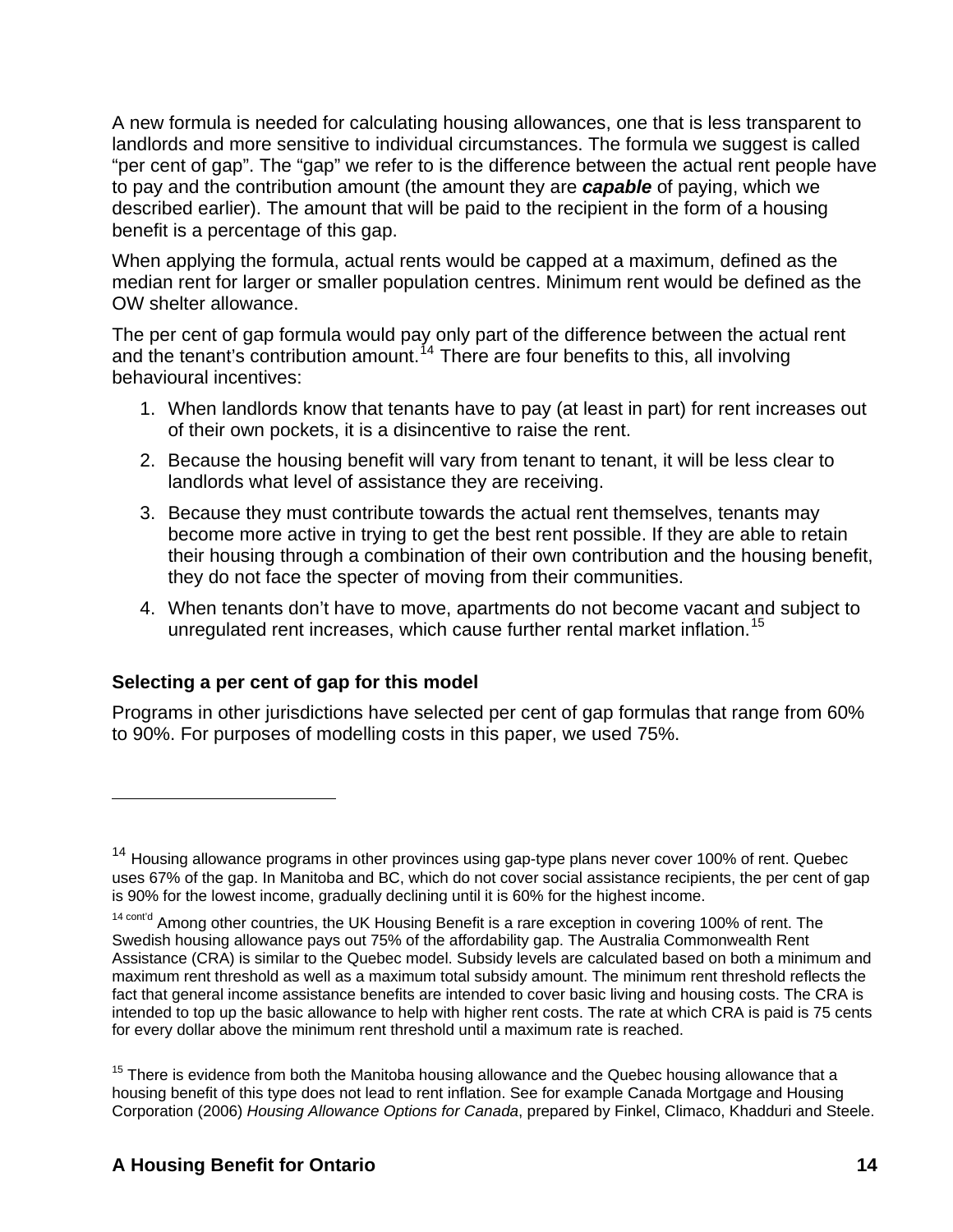A new formula is needed for calculating housing allowances, one that is less transparent to landlords and more sensitive to individual circumstances. The formula we suggest is called "per cent of gap". The "gap" we refer to is the difference between the actual rent people have to pay and the contribution amount (the amount they are *capable* of paying, which we described earlier). The amount that will be paid to the recipient in the form of a housing benefit is a percentage of this gap.

When applying the formula, actual rents would be capped at a maximum, defined as the median rent for larger or smaller population centres. Minimum rent would be defined as the OW shelter allowance.

The per cent of gap formula would pay only part of the difference between the actual rent and the tenant's contribution amount.<sup>[14](#page-13-0)</sup> There are four benefits to this, all involving behavioural incentives:

- 1. When landlords know that tenants have to pay (at least in part) for rent increases out of their own pockets, it is a disincentive to raise the rent.
- 2. Because the housing benefit will vary from tenant to tenant, it will be less clear to landlords what level of assistance they are receiving.
- 3. Because they must contribute towards the actual rent themselves, tenants may become more active in trying to get the best rent possible. If they are able to retain their housing through a combination of their own contribution and the housing benefit, they do not face the specter of moving from their communities.
- 4. When tenants don't have to move, apartments do not become vacant and subject to unregulated rent increases, which cause further rental market inflation.<sup>[15](#page-13-1)</sup>

#### **Selecting a per cent of gap for this model**

1

Programs in other jurisdictions have selected per cent of gap formulas that range from 60% to 90%. For purposes of modelling costs in this paper, we used 75%.

<span id="page-13-0"></span><sup>&</sup>lt;sup>14</sup> Housing allowance programs in other provinces using gap-type plans never cover 100% of rent. Quebec uses 67% of the gap. In Manitoba and BC, which do not cover social assistance recipients, the per cent of gap is 90% for the lowest income, gradually declining until it is 60% for the highest income.

 $14$  cont'd Among other countries, the UK Housing Benefit is a rare exception in covering 100% of rent. The Swedish housing allowance pays out 75% of the affordability gap. The Australia Commonwealth Rent Assistance (CRA) is similar to the Quebec model. Subsidy levels are calculated based on both a minimum and maximum rent threshold as well as a maximum total subsidy amount. The minimum rent threshold reflects the fact that general income assistance benefits are intended to cover basic living and housing costs. The CRA is intended to top up the basic allowance to help with higher rent costs. The rate at which CRA is paid is 75 cents for every dollar above the minimum rent threshold until a maximum rate is reached.

<span id="page-13-1"></span> $15$  There is evidence from both the Manitoba housing allowance and the Quebec housing allowance that a housing benefit of this type does not lead to rent inflation. See for example Canada Mortgage and Housing Corporation (2006) *Housing Allowance Options for Canada*, prepared by Finkel, Climaco, Khadduri and Steele.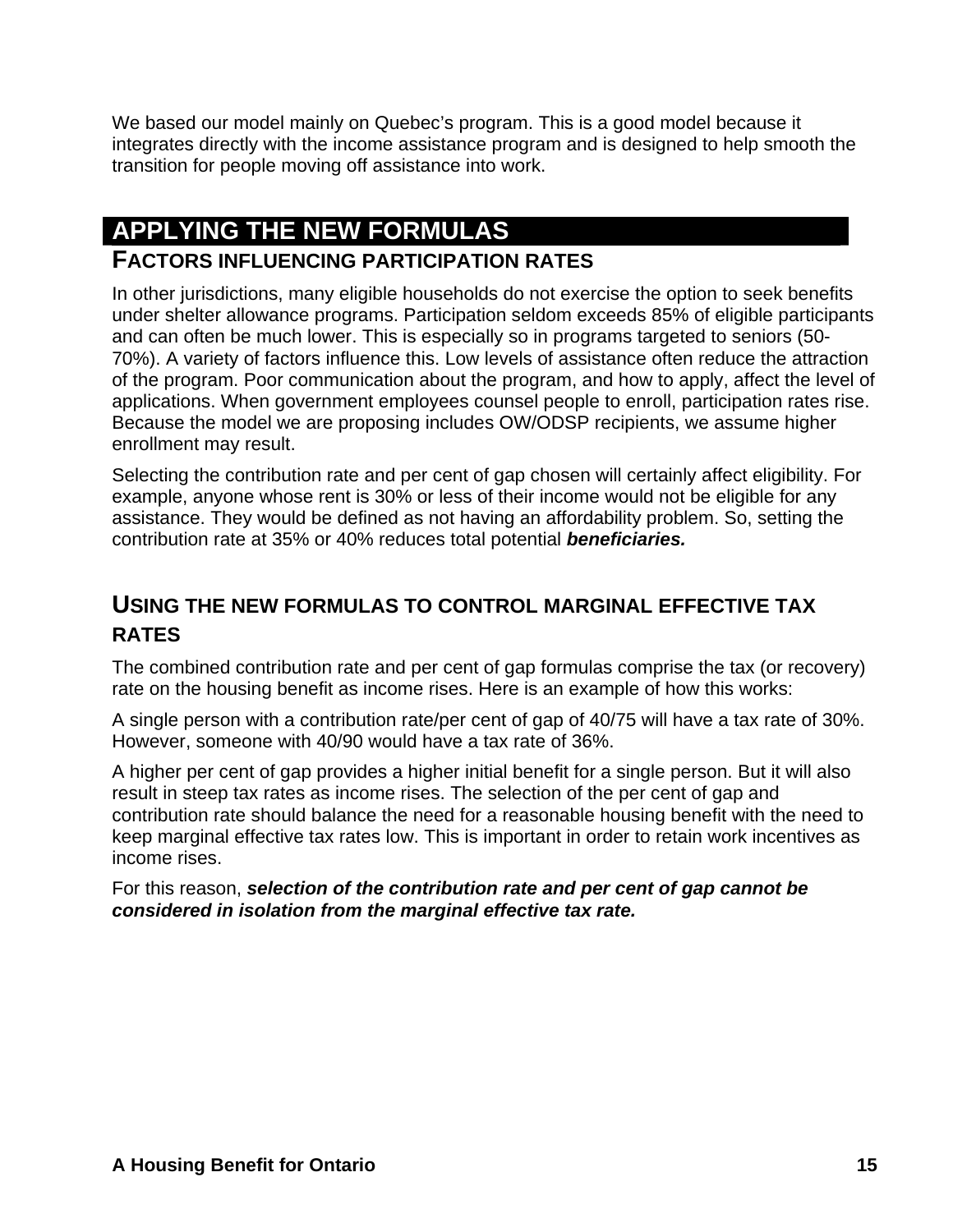<span id="page-14-0"></span>We based our model mainly on Quebec's program. This is a good model because it integrates directly with the income assistance program and is designed to help smooth the transition for people moving off assistance into work.

# **APPLYING THE NEW FORMULAS**

## **FACTORS INFLUENCING PARTICIPATION RATES**

In other jurisdictions, many eligible households do not exercise the option to seek benefits under shelter allowance programs. Participation seldom exceeds 85% of eligible participants and can often be much lower. This is especially so in programs targeted to seniors (50- 70%). A variety of factors influence this. Low levels of assistance often reduce the attraction of the program. Poor communication about the program, and how to apply, affect the level of applications. When government employees counsel people to enroll, participation rates rise. Because the model we are proposing includes OW/ODSP recipients, we assume higher enrollment may result.

Selecting the contribution rate and per cent of gap chosen will certainly affect eligibility. For example, anyone whose rent is 30% or less of their income would not be eligible for any assistance. They would be defined as not having an affordability problem. So, setting the contribution rate at 35% or 40% reduces total potential *beneficiaries.* 

## **USING THE NEW FORMULAS TO CONTROL MARGINAL EFFECTIVE TAX RATES**

The combined contribution rate and per cent of gap formulas comprise the tax (or recovery) rate on the housing benefit as income rises. Here is an example of how this works:

A single person with a contribution rate/per cent of gap of 40/75 will have a tax rate of 30%. However, someone with 40/90 would have a tax rate of 36%.

A higher per cent of gap provides a higher initial benefit for a single person. But it will also result in steep tax rates as income rises. The selection of the per cent of gap and contribution rate should balance the need for a reasonable housing benefit with the need to keep marginal effective tax rates low. This is important in order to retain work incentives as income rises.

#### For this reason, *selection of the contribution rate and per cent of gap cannot be considered in isolation from the marginal effective tax rate.*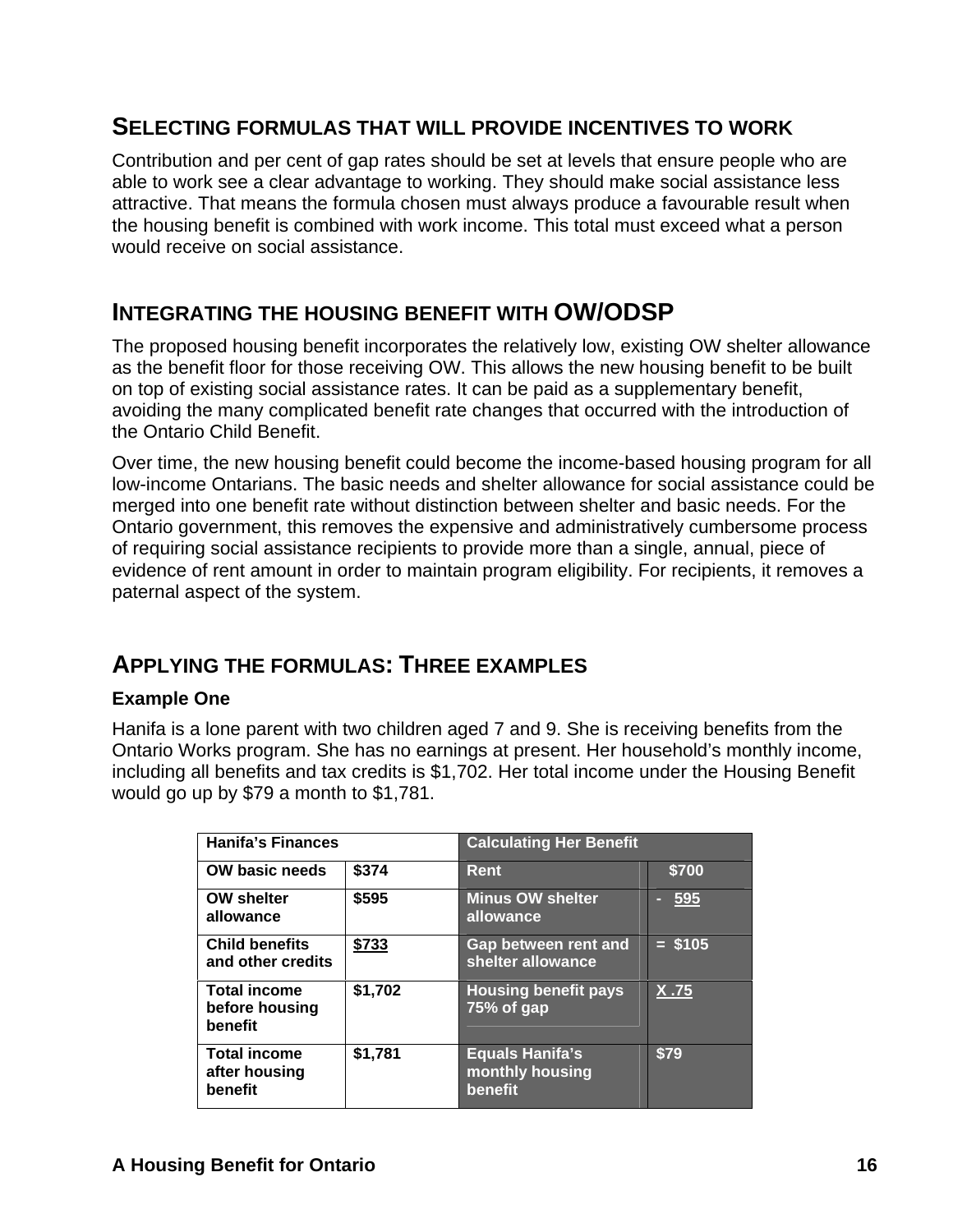## <span id="page-15-0"></span>**SELECTING FORMULAS THAT WILL PROVIDE INCENTIVES TO WORK**

Contribution and per cent of gap rates should be set at levels that ensure people who are able to work see a clear advantage to working. They should make social assistance less attractive. That means the formula chosen must always produce a favourable result when the housing benefit is combined with work income. This total must exceed what a person would receive on social assistance.

## **INTEGRATING THE HOUSING BENEFIT WITH OW/ODSP**

The proposed housing benefit incorporates the relatively low, existing OW shelter allowance as the benefit floor for those receiving OW. This allows the new housing benefit to be built on top of existing social assistance rates. It can be paid as a supplementary benefit, avoiding the many complicated benefit rate changes that occurred with the introduction of the Ontario Child Benefit.

Over time, the new housing benefit could become the income-based housing program for all low-income Ontarians. The basic needs and shelter allowance for social assistance could be merged into one benefit rate without distinction between shelter and basic needs. For the Ontario government, this removes the expensive and administratively cumbersome process of requiring social assistance recipients to provide more than a single, annual, piece of evidence of rent amount in order to maintain program eligibility. For recipients, it removes a paternal aspect of the system.

## **APPLYING THE FORMULAS: THREE EXAMPLES**

#### **Example One**

Hanifa is a lone parent with two children aged 7 and 9. She is receiving benefits from the Ontario Works program. She has no earnings at present. Her household's monthly income, including all benefits and tax credits is \$1,702. Her total income under the Housing Benefit would go up by \$79 a month to \$1,781.

| <b>Hanifa's Finances</b>                         |         | <b>Calculating Her Benefit</b>                       |           |  |
|--------------------------------------------------|---------|------------------------------------------------------|-----------|--|
| <b>OW basic needs</b>                            | \$374   | Rent                                                 | \$700     |  |
| <b>OW shelter</b><br>allowance                   | \$595   | <b>Minus OW shelter</b><br>allowance                 | 595<br>▭  |  |
| <b>Child benefits</b><br>and other credits       | \$733   | Gap between rent and<br>shelter allowance            | $=$ \$105 |  |
| <b>Total income</b><br>before housing<br>benefit | \$1,702 | <b>Housing benefit pays</b><br>75% of gap            | X.75      |  |
| <b>Total income</b><br>after housing<br>benefit  | \$1,781 | <b>Equals Hanifa's</b><br>monthly housing<br>benefit | \$79      |  |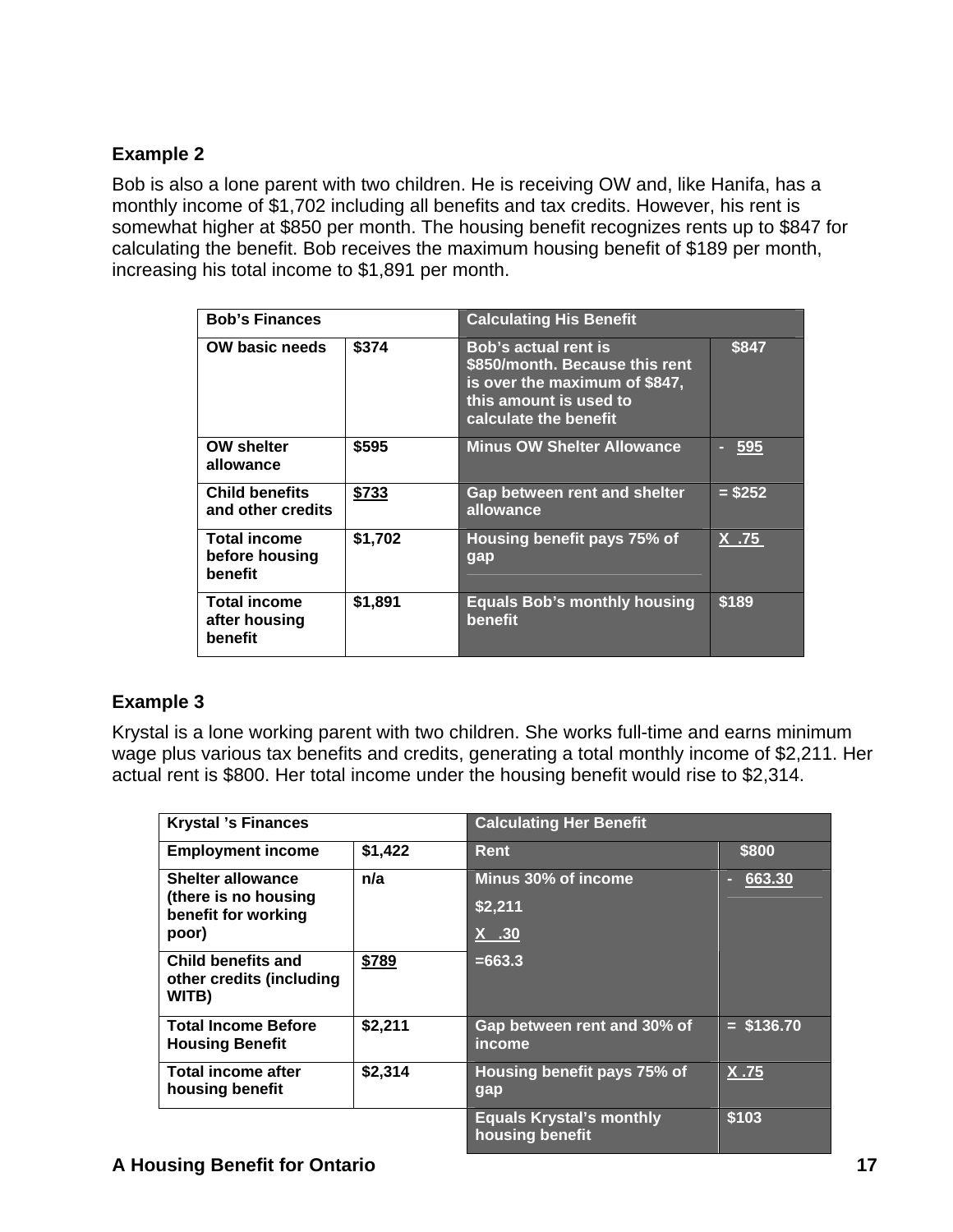#### **Example 2**

Bob is also a lone parent with two children. He is receiving OW and, like Hanifa, has a monthly income of \$1,702 including all benefits and tax credits. However, his rent is somewhat higher at \$850 per month. The housing benefit recognizes rents up to \$847 for calculating the benefit. Bob receives the maximum housing benefit of \$189 per month, increasing his total income to \$1,891 per month.

| <b>Bob's Finances</b>                            |         | <b>Calculating His Benefit</b>                                                                                                                    |           |  |
|--------------------------------------------------|---------|---------------------------------------------------------------------------------------------------------------------------------------------------|-----------|--|
| OW basic needs                                   | \$374   | <b>Bob's actual rent is</b><br>\$850/month. Because this rent<br>is over the maximum of \$847,<br>this amount is used to<br>calculate the benefit | \$847     |  |
| <b>OW shelter</b><br>allowance                   | \$595   | <b>Minus OW Shelter Allowance</b>                                                                                                                 | 595       |  |
| <b>Child benefits</b><br>and other credits       | \$733   | Gap between rent and shelter<br>allowance                                                                                                         | $=$ \$252 |  |
| <b>Total income</b><br>before housing<br>benefit | \$1,702 | Housing benefit pays 75% of<br>gap                                                                                                                | $X$ .75   |  |
| <b>Total income</b><br>after housing<br>benefit  | \$1,891 | <b>Equals Bob's monthly housing</b><br>benefit                                                                                                    | \$189     |  |

#### **Example 3**

Krystal is a lone working parent with two children. She works full-time and earns minimum wage plus various tax benefits and credits, generating a total monthly income of \$2,211. Her actual rent is \$800. Her total income under the housing benefit would rise to \$2,314.

| <b>Krystal 's Finances</b>                                                |         | <b>Calculating Her Benefit</b>                     |             |  |
|---------------------------------------------------------------------------|---------|----------------------------------------------------|-------------|--|
| <b>Employment income</b>                                                  | \$1,422 | <b>Rent</b>                                        | \$800       |  |
| Shelter allowance<br>(there is no housing<br>benefit for working<br>poor) | n/a     | Minus 30% of income<br>\$2,211<br><u>X .30</u>     | 663.30<br>□ |  |
| Child benefits and<br>other credits (including<br>WITB)                   | \$789   | $=663.3$                                           |             |  |
| <b>Total Income Before</b><br><b>Housing Benefit</b>                      | \$2,211 | Gap between rent and 30% of<br><i>income</i>       | $= $136.70$ |  |
| Total income after<br>housing benefit                                     | \$2,314 | Housing benefit pays 75% of<br>gap                 | <u>X.75</u> |  |
|                                                                           |         | <b>Equals Krystal's monthly</b><br>housing benefit | \$103       |  |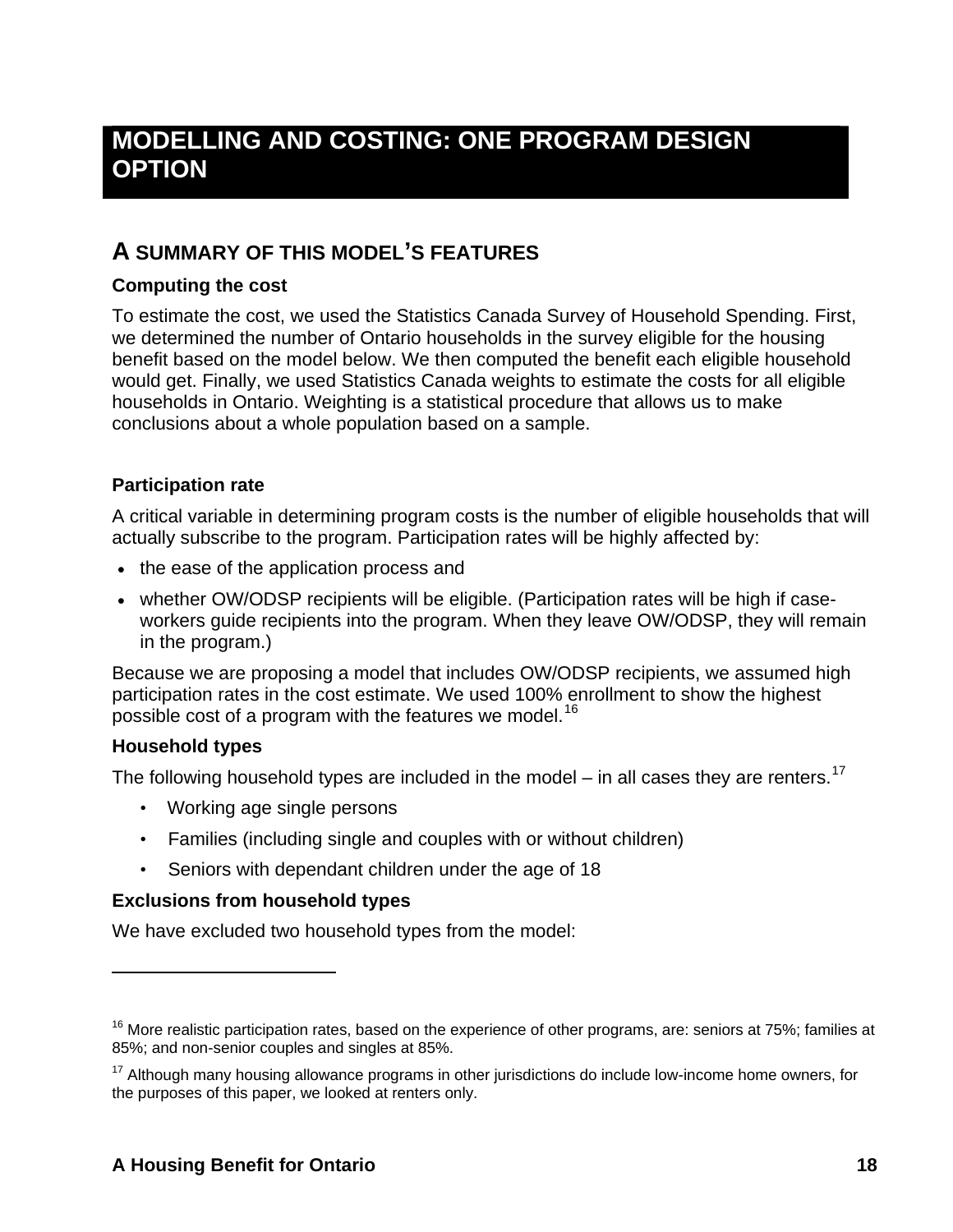# <span id="page-17-0"></span>**MODELLING AND COSTING: ONE PROGRAM DESIGN OPTION**

## **A SUMMARY OF THIS MODEL'S FEATURES**

#### **Computing the cost**

To estimate the cost, we used the Statistics Canada Survey of Household Spending. First, we determined the number of Ontario households in the survey eligible for the housing benefit based on the model below. We then computed the benefit each eligible household would get. Finally, we used Statistics Canada weights to estimate the costs for all eligible households in Ontario. Weighting is a statistical procedure that allows us to make conclusions about a whole population based on a sample.

#### **Participation rate**

A critical variable in determining program costs is the number of eligible households that will actually subscribe to the program. Participation rates will be highly affected by:

- the ease of the application process and
- whether OW/ODSP recipients will be eligible. (Participation rates will be high if caseworkers guide recipients into the program. When they leave OW/ODSP, they will remain in the program.)

Because we are proposing a model that includes OW/ODSP recipients, we assumed high participation rates in the cost estimate. We used 100% enrollment to show the highest possible cost of a program with the features we model.<sup>[16](#page-17-1)</sup>

#### **Household types**

 $\overline{a}$ 

The following household types are included in the model – in all cases they are renters.<sup>[17](#page-17-2)</sup>

- Working age single persons
- Families (including single and couples with or without children)
- Seniors with dependant children under the age of 18

#### **Exclusions from household types**

We have excluded two household types from the model:

<span id="page-17-1"></span> $16$  More realistic participation rates, based on the experience of other programs, are: seniors at 75%; families at 85%; and non-senior couples and singles at 85%.

<span id="page-17-2"></span> $17$  Although many housing allowance programs in other jurisdictions do include low-income home owners, for the purposes of this paper, we looked at renters only.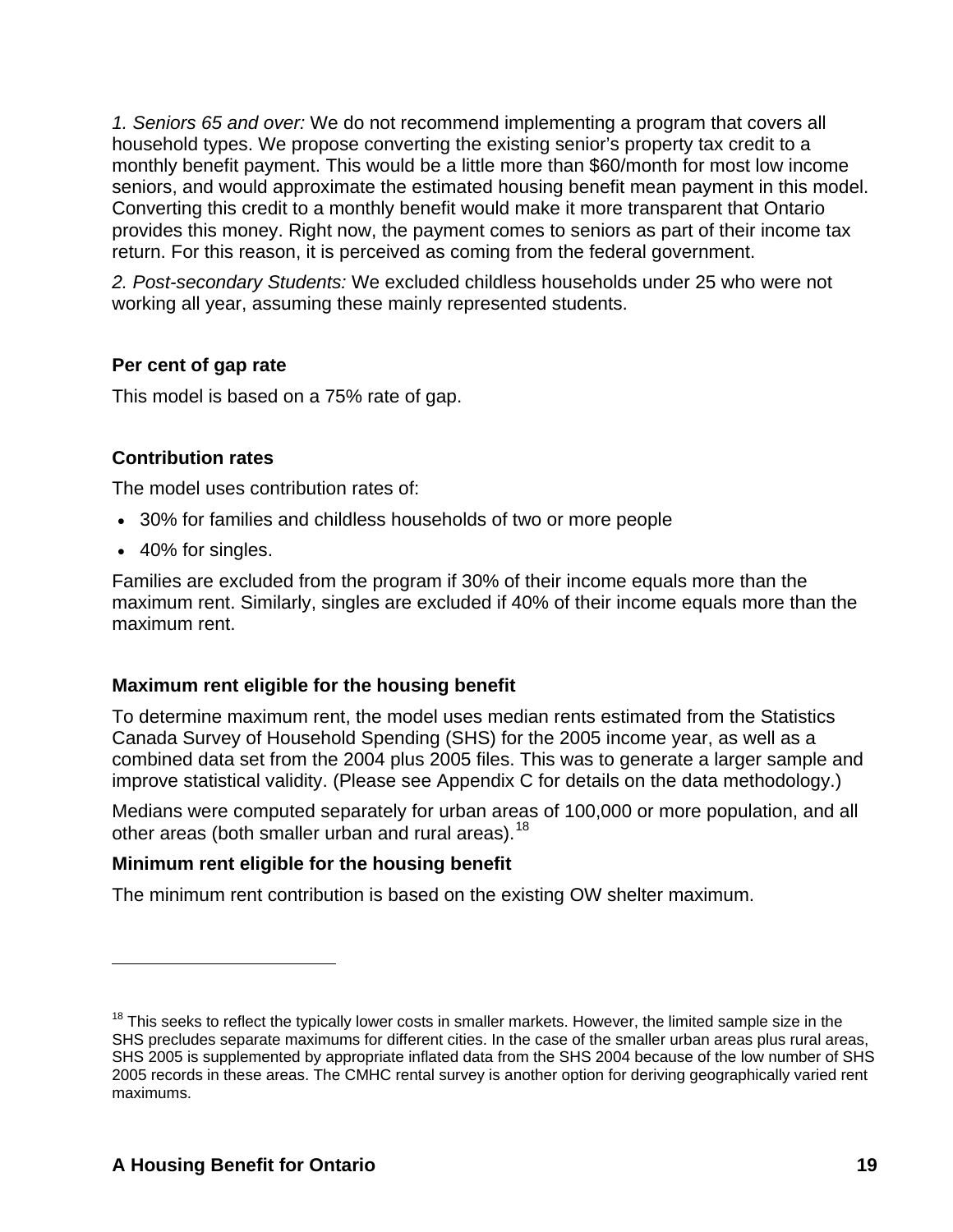*1. Seniors 65 and over:* We do not recommend implementing a program that covers all household types. We propose converting the existing senior's property tax credit to a monthly benefit payment. This would be a little more than \$60/month for most low income seniors, and would approximate the estimated housing benefit mean payment in this model. Converting this credit to a monthly benefit would make it more transparent that Ontario provides this money. Right now, the payment comes to seniors as part of their income tax return. For this reason, it is perceived as coming from the federal government.

*2. Post-secondary Students:* We excluded childless households under 25 who were not working all year, assuming these mainly represented students.

#### **Per cent of gap rate**

This model is based on a 75% rate of gap.

#### **Contribution rates**

The model uses contribution rates of:

- 30% for families and childless households of two or more people
- 40% for singles.

 $\overline{a}$ 

Families are excluded from the program if 30% of their income equals more than the maximum rent. Similarly, singles are excluded if 40% of their income equals more than the maximum rent.

#### **Maximum rent eligible for the housing benefit**

To determine maximum rent, the model uses median rents estimated from the Statistics Canada Survey of Household Spending (SHS) for the 2005 income year, as well as a combined data set from the 2004 plus 2005 files. This was to generate a larger sample and improve statistical validity. (Please see Appendix C for details on the data methodology.)

Medians were computed separately for urban areas of 100,000 or more population, and all other areas (both smaller urban and rural areas).<sup>[18](#page-18-0)</sup>

#### **Minimum rent eligible for the housing benefit**

The minimum rent contribution is based on the existing OW shelter maximum.

<span id="page-18-0"></span><sup>&</sup>lt;sup>18</sup> This seeks to reflect the typically lower costs in smaller markets. However, the limited sample size in the SHS precludes separate maximums for different cities. In the case of the smaller urban areas plus rural areas, SHS 2005 is supplemented by appropriate inflated data from the SHS 2004 because of the low number of SHS 2005 records in these areas. The CMHC rental survey is another option for deriving geographically varied rent maximums.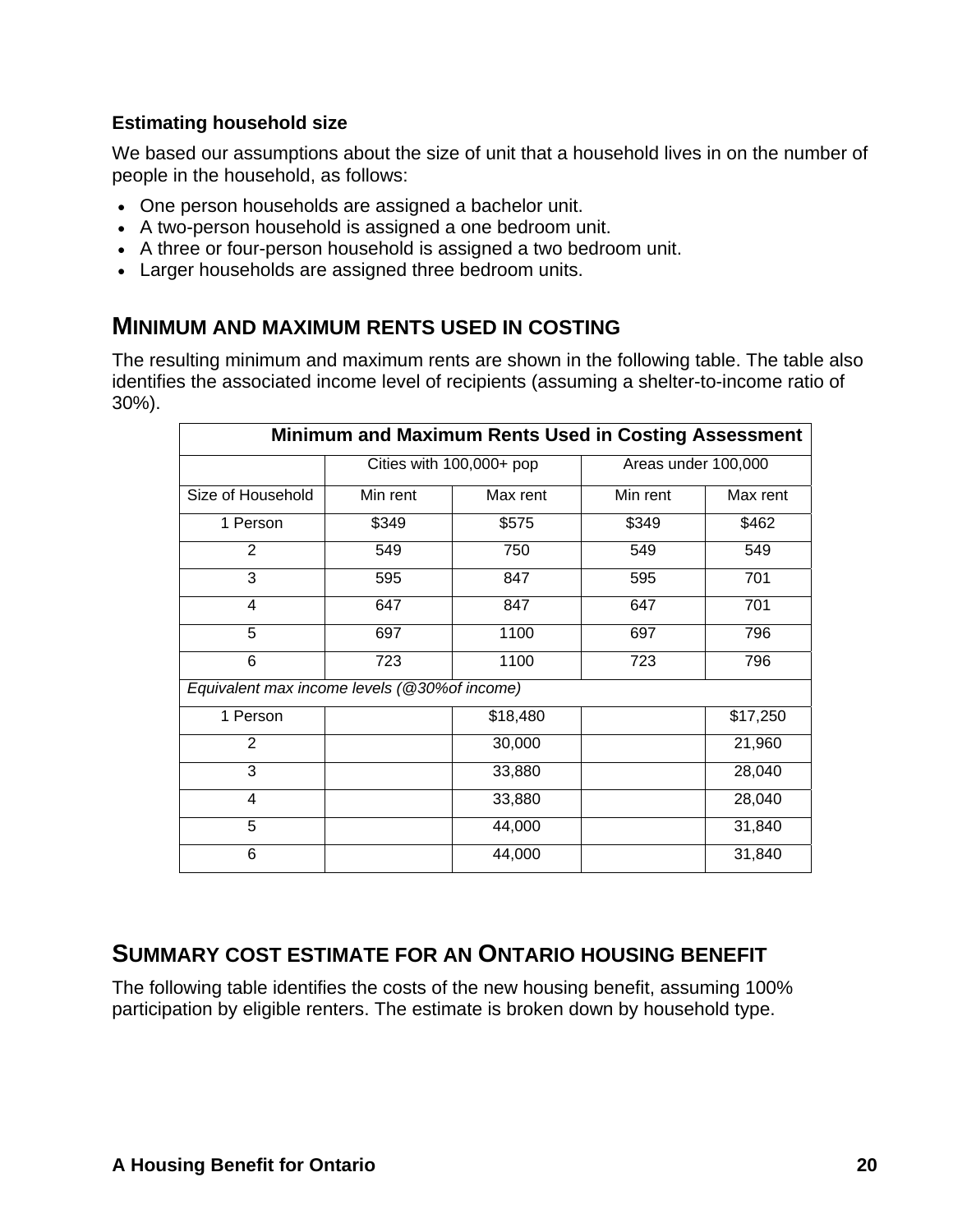#### <span id="page-19-0"></span>**Estimating household size**

We based our assumptions about the size of unit that a household lives in on the number of people in the household, as follows:

- One person households are assigned a bachelor unit.
- A two-person household is assigned a one bedroom unit.
- A three or four-person household is assigned a two bedroom unit.
- Larger households are assigned three bedroom units.

## **MINIMUM AND MAXIMUM RENTS USED IN COSTING**

The resulting minimum and maximum rents are shown in the following table. The table also identifies the associated income level of recipients (assuming a shelter-to-income ratio of 30%).

| Minimum and Maximum Rents Used in Costing Assessment |                          |          |                     |          |
|------------------------------------------------------|--------------------------|----------|---------------------|----------|
|                                                      | Cities with 100,000+ pop |          | Areas under 100,000 |          |
| Size of Household                                    | Min rent                 | Max rent | Min rent            | Max rent |
| 1 Person                                             | \$349                    | \$575    | \$349               | \$462    |
| 2                                                    | 549                      | 750      | 549                 | 549      |
| 3                                                    | 595                      | 847      | 595                 | 701      |
| $\overline{4}$                                       | 647                      | 847      | 647                 | 701      |
| 5                                                    | 697                      | 1100     | 697                 | 796      |
| 6                                                    | 723                      | 1100     | 723                 | 796      |
| Equivalent max income levels (@30%of income)         |                          |          |                     |          |
| 1 Person                                             |                          | \$18,480 |                     | \$17,250 |
| 2                                                    |                          | 30,000   |                     | 21,960   |
| 3                                                    |                          | 33,880   |                     | 28,040   |
| 4                                                    |                          | 33,880   |                     | 28,040   |
| 5                                                    |                          | 44,000   |                     | 31,840   |
| 6                                                    |                          | 44,000   |                     | 31,840   |

## **SUMMARY COST ESTIMATE FOR AN ONTARIO HOUSING BENEFIT**

The following table identifies the costs of the new housing benefit, assuming 100% participation by eligible renters. The estimate is broken down by household type.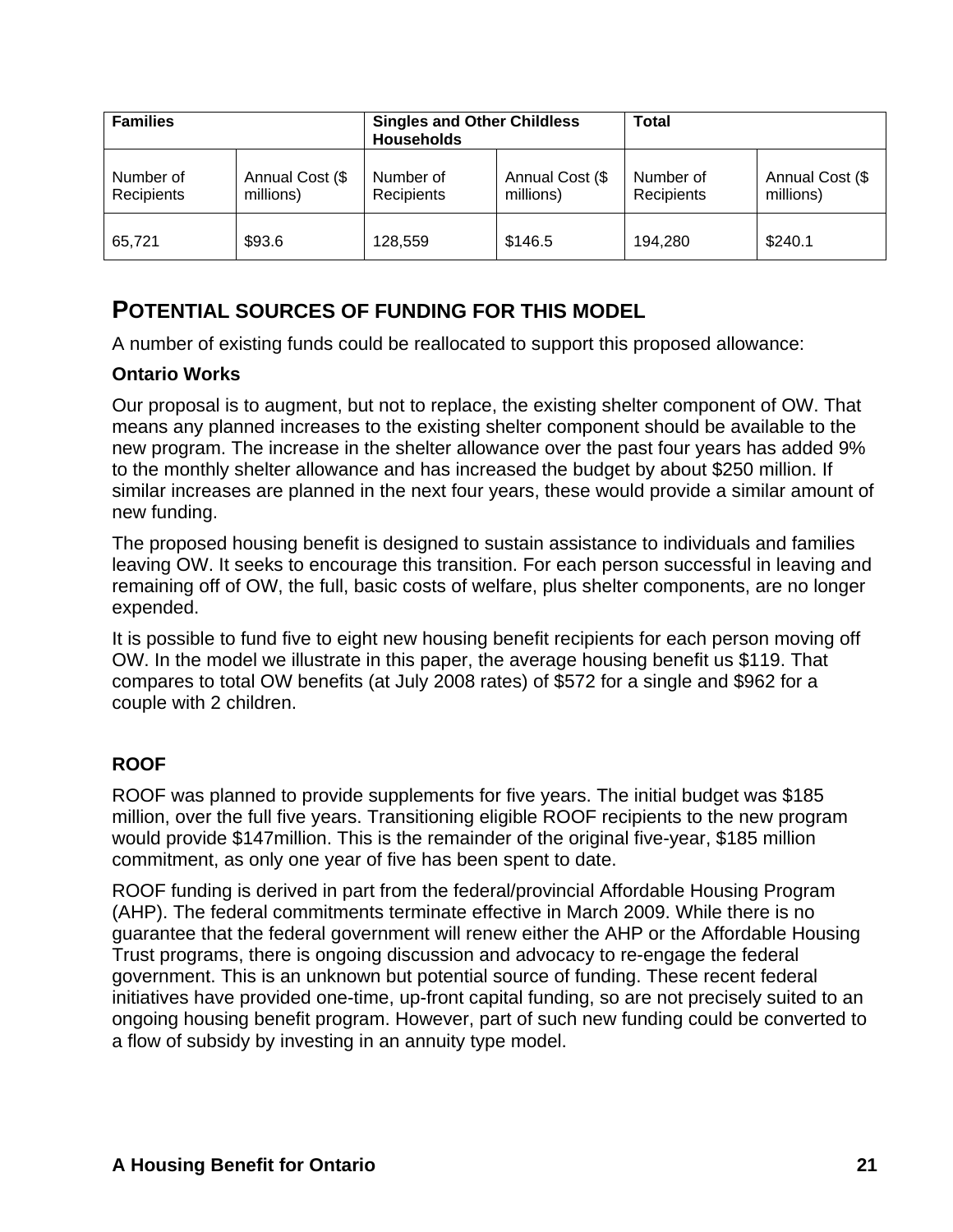<span id="page-20-0"></span>

| <b>Families</b><br><b>Households</b> |                              | <b>Singles and Other Childless</b> |                              | Total                   |                              |
|--------------------------------------|------------------------------|------------------------------------|------------------------------|-------------------------|------------------------------|
| Number of<br>Recipients              | Annual Cost (\$<br>millions) | Number of<br>Recipients            | Annual Cost (\$<br>millions) | Number of<br>Recipients | Annual Cost (\$<br>millions) |
| 65,721                               | \$93.6                       | 128,559                            | \$146.5                      | 194,280                 | \$240.1                      |

## **POTENTIAL SOURCES OF FUNDING FOR THIS MODEL**

A number of existing funds could be reallocated to support this proposed allowance:

#### **Ontario Works**

Our proposal is to augment, but not to replace, the existing shelter component of OW. That means any planned increases to the existing shelter component should be available to the new program. The increase in the shelter allowance over the past four years has added 9% to the monthly shelter allowance and has increased the budget by about \$250 million. If similar increases are planned in the next four years, these would provide a similar amount of new funding.

The proposed housing benefit is designed to sustain assistance to individuals and families leaving OW. It seeks to encourage this transition. For each person successful in leaving and remaining off of OW, the full, basic costs of welfare, plus shelter components, are no longer expended.

It is possible to fund five to eight new housing benefit recipients for each person moving off OW. In the model we illustrate in this paper, the average housing benefit us \$119. That compares to total OW benefits (at July 2008 rates) of \$572 for a single and \$962 for a couple with 2 children.

## **ROOF**

ROOF was planned to provide supplements for five years. The initial budget was \$185 million, over the full five years. Transitioning eligible ROOF recipients to the new program would provide \$147million. This is the remainder of the original five-year, \$185 million commitment, as only one year of five has been spent to date.

ROOF funding is derived in part from the federal/provincial Affordable Housing Program (AHP). The federal commitments terminate effective in March 2009. While there is no guarantee that the federal government will renew either the AHP or the Affordable Housing Trust programs, there is ongoing discussion and advocacy to re-engage the federal government. This is an unknown but potential source of funding. These recent federal initiatives have provided one-time, up-front capital funding, so are not precisely suited to an ongoing housing benefit program. However, part of such new funding could be converted to a flow of subsidy by investing in an annuity type model.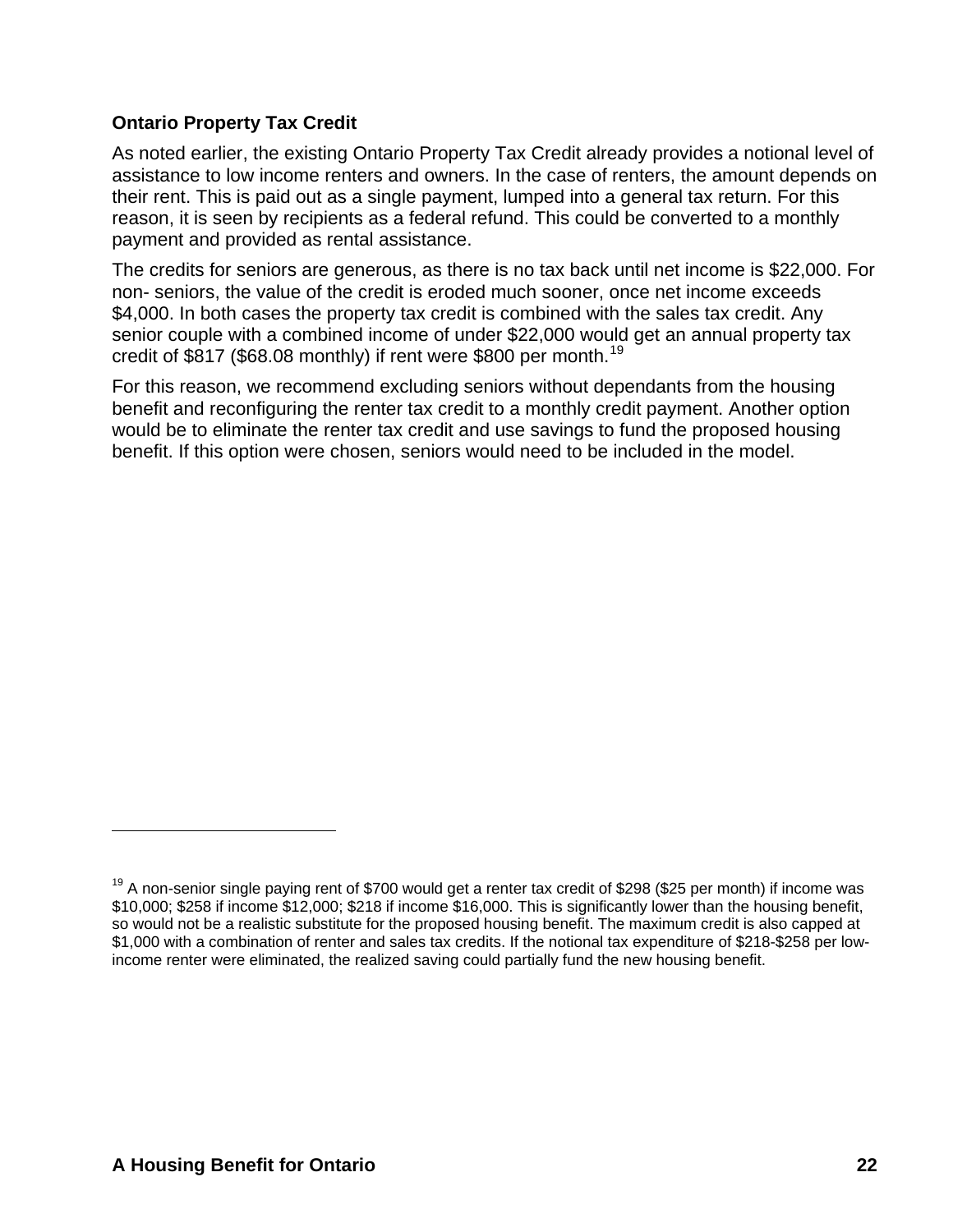#### **Ontario Property Tax Credit**

As noted earlier, the existing Ontario Property Tax Credit already provides a notional level of assistance to low income renters and owners. In the case of renters, the amount depends on their rent. This is paid out as a single payment, lumped into a general tax return. For this reason, it is seen by recipients as a federal refund. This could be converted to a monthly payment and provided as rental assistance.

The credits for seniors are generous, as there is no tax back until net income is \$22,000. For non- seniors, the value of the credit is eroded much sooner, once net income exceeds \$4,000. In both cases the property tax credit is combined with the sales tax credit. Any senior couple with a combined income of under \$22,000 would get an annual property tax credit of \$817 (\$68.08 monthly) if rent were \$800 per month.<sup>[19](#page-21-0)</sup>

For this reason, we recommend excluding seniors without dependants from the housing benefit and reconfiguring the renter tax credit to a monthly credit payment. Another option would be to eliminate the renter tax credit and use savings to fund the proposed housing benefit. If this option were chosen, seniors would need to be included in the model.

<span id="page-21-0"></span> $19$  A non-senior single paying rent of \$700 would get a renter tax credit of \$298 (\$25 per month) if income was \$10,000; \$258 if income \$12,000; \$218 if income \$16,000. This is significantly lower than the housing benefit, so would not be a realistic substitute for the proposed housing benefit. The maximum credit is also capped at \$1,000 with a combination of renter and sales tax credits. If the notional tax expenditure of \$218-\$258 per lowincome renter were eliminated, the realized saving could partially fund the new housing benefit.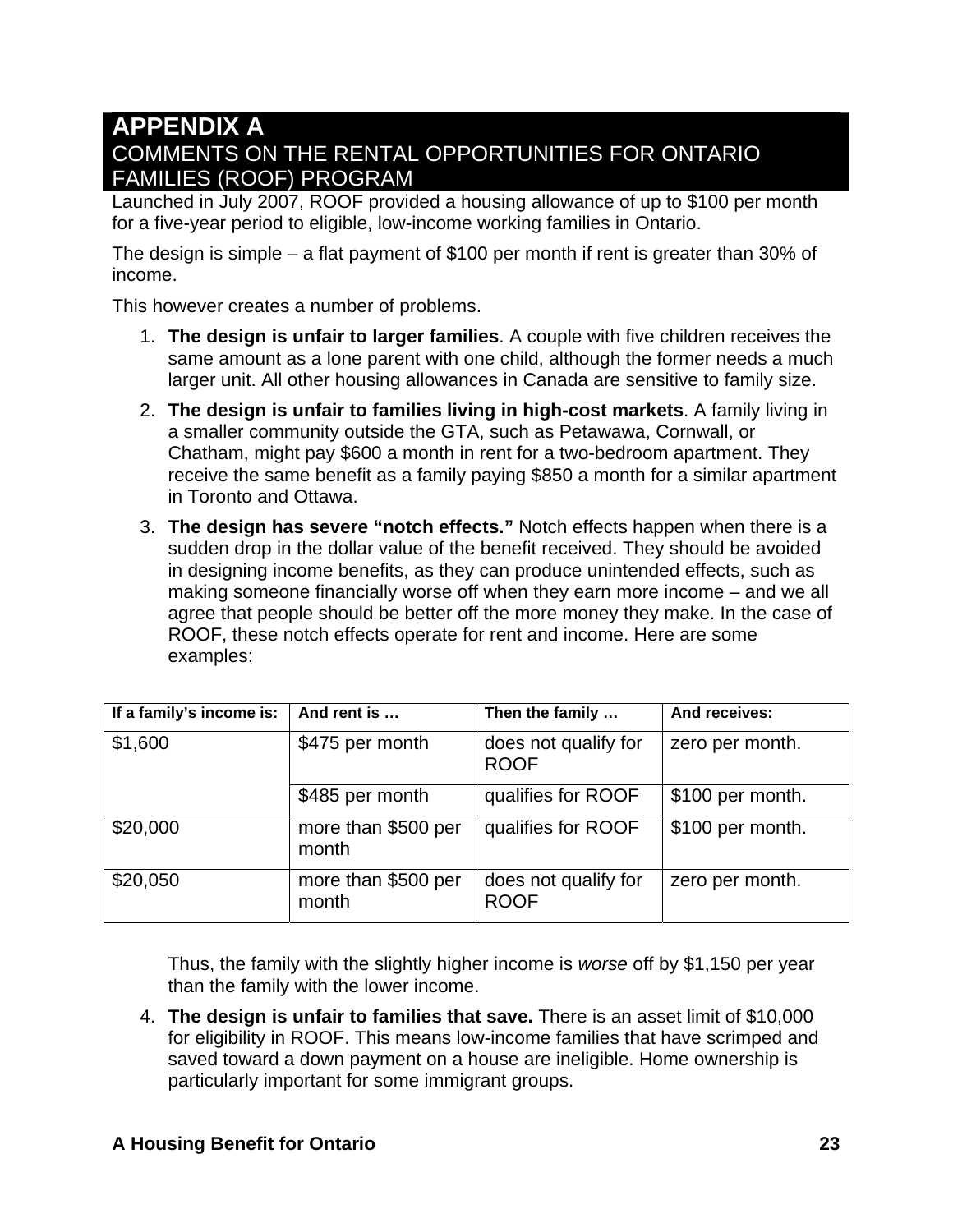## <span id="page-22-0"></span>**APPENDIX A**  COMMENTS ON THE RENTAL OPPORTUNITIES FOR ONTARIO FAMILIES (ROOF) PROGRAM

Launched in July 2007, ROOF provided a housing allowance of up to \$100 per month for a five-year period to eligible, low-income working families in Ontario.

The design is simple – a flat payment of \$100 per month if rent is greater than 30% of income.

This however creates a number of problems.

- 1. **The design is unfair to larger families**. A couple with five children receives the same amount as a lone parent with one child, although the former needs a much larger unit. All other housing allowances in Canada are sensitive to family size.
- 2. **The design is unfair to families living in high-cost markets**. A family living in a smaller community outside the GTA, such as Petawawa, Cornwall, or Chatham, might pay \$600 a month in rent for a two-bedroom apartment. They receive the same benefit as a family paying \$850 a month for a similar apartment in Toronto and Ottawa.
- 3. **The design has severe "notch effects."** Notch effects happen when there is a sudden drop in the dollar value of the benefit received. They should be avoided in designing income benefits, as they can produce unintended effects, such as making someone financially worse off when they earn more income – and we all agree that people should be better off the more money they make. In the case of ROOF, these notch effects operate for rent and income. Here are some examples:

| If a family's income is: | And rent is                  | Then the family                     | And receives:    |
|--------------------------|------------------------------|-------------------------------------|------------------|
| \$1,600                  | \$475 per month              | does not qualify for<br><b>ROOF</b> | zero per month.  |
|                          | \$485 per month              | qualifies for ROOF                  | \$100 per month. |
| \$20,000                 | more than \$500 per<br>month | qualifies for ROOF                  | \$100 per month. |
| \$20,050                 | more than \$500 per<br>month | does not qualify for<br><b>ROOF</b> | zero per month.  |

Thus, the family with the slightly higher income is *worse* off by \$1,150 per year than the family with the lower income.

4. **The design is unfair to families that save.** There is an asset limit of \$10,000 for eligibility in ROOF. This means low-income families that have scrimped and saved toward a down payment on a house are ineligible. Home ownership is particularly important for some immigrant groups.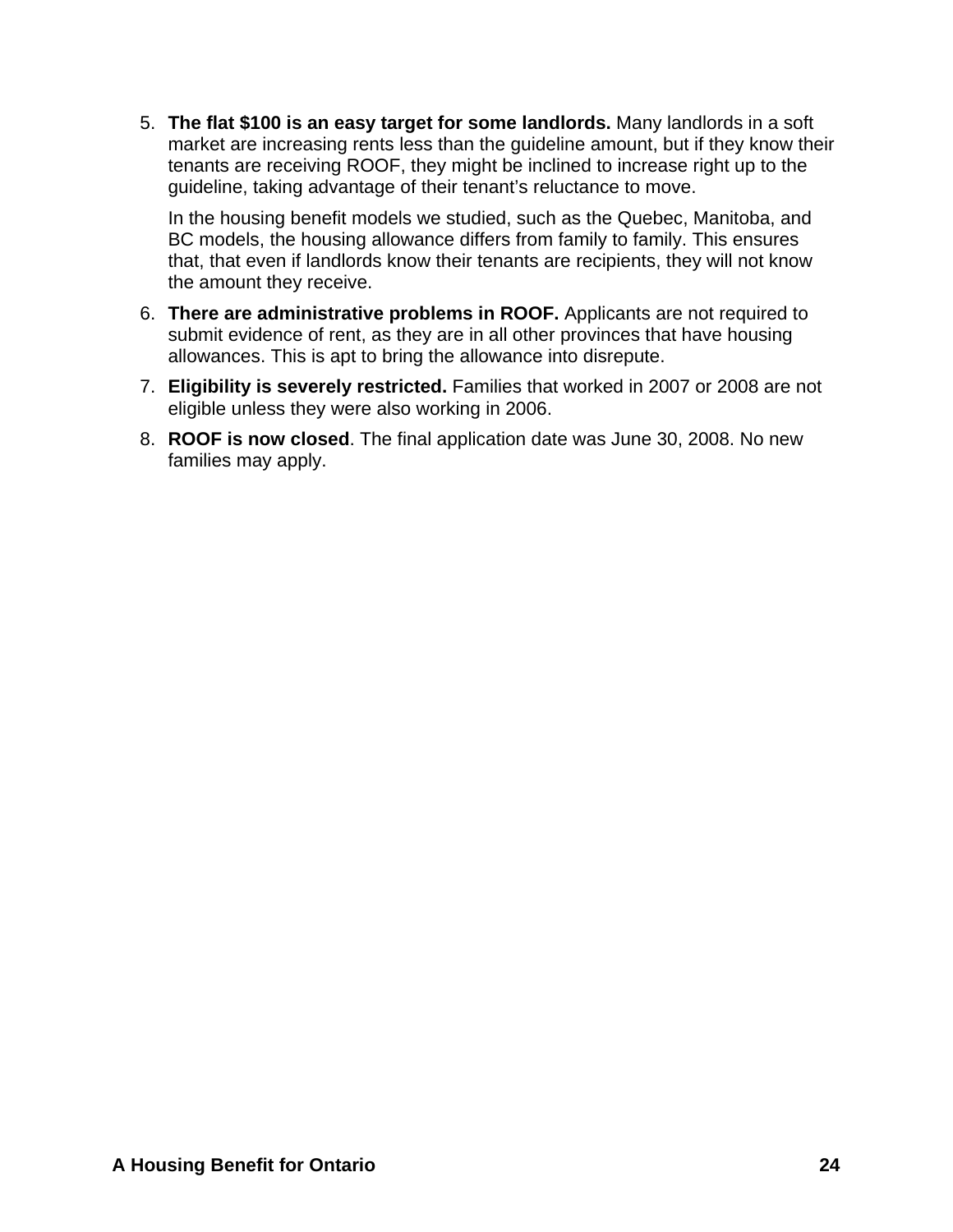5. **The flat \$100 is an easy target for some landlords.** Many landlords in a soft market are increasing rents less than the guideline amount, but if they know their tenants are receiving ROOF, they might be inclined to increase right up to the guideline, taking advantage of their tenant's reluctance to move.

In the housing benefit models we studied, such as the Quebec, Manitoba, and BC models, the housing allowance differs from family to family. This ensures that, that even if landlords know their tenants are recipients, they will not know the amount they receive.

- 6. **There are administrative problems in ROOF.** Applicants are not required to submit evidence of rent, as they are in all other provinces that have housing allowances. This is apt to bring the allowance into disrepute.
- 7. **Eligibility is severely restricted.** Families that worked in 2007 or 2008 are not eligible unless they were also working in 2006.
- 8. **ROOF is now closed**. The final application date was June 30, 2008. No new families may apply.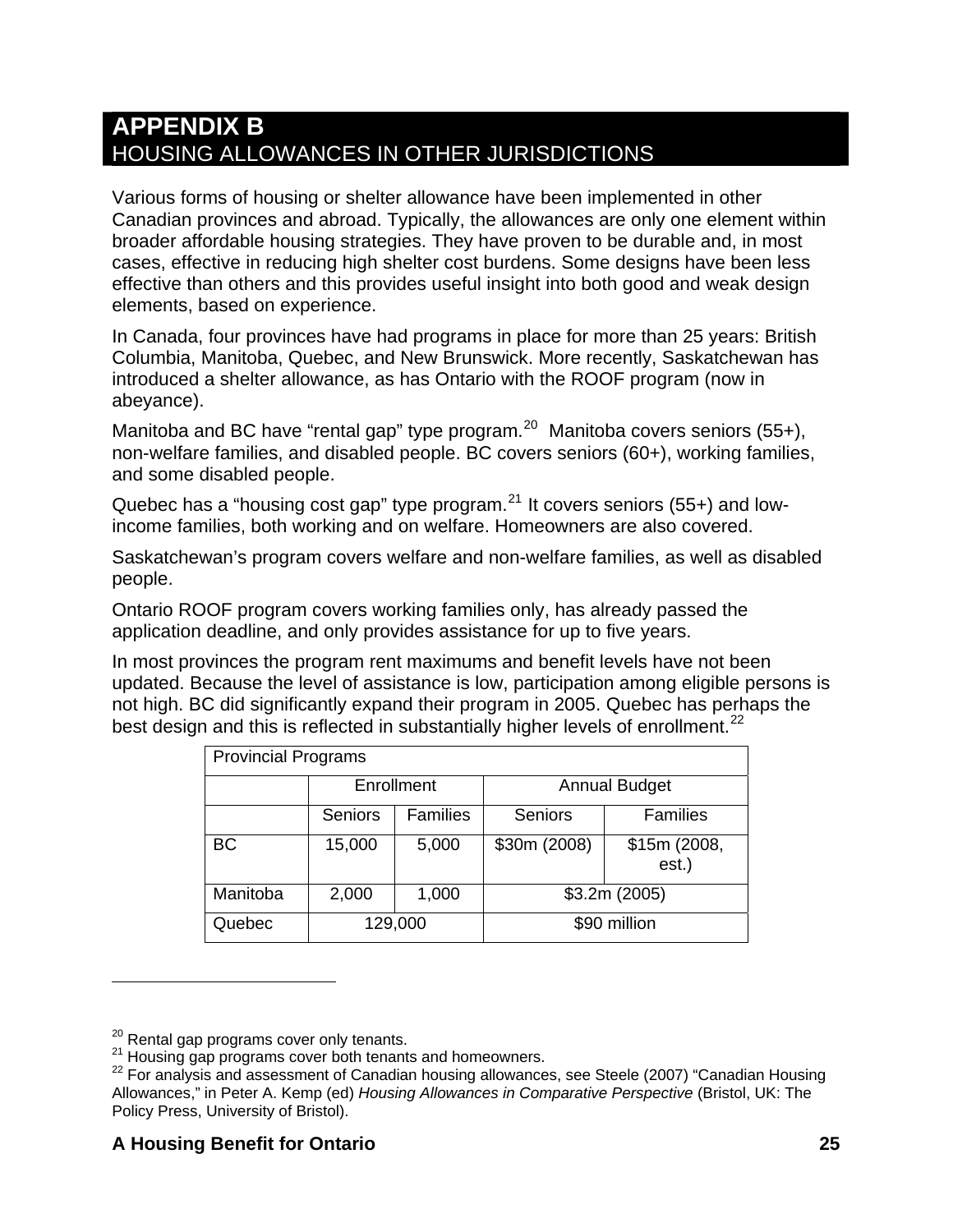# <span id="page-24-0"></span>**APPENDIX B**  HOUSING ALLOWANCES IN OTHER JURISDICTIONS

Various forms of housing or shelter allowance have been implemented in other Canadian provinces and abroad. Typically, the allowances are only one element within broader affordable housing strategies. They have proven to be durable and, in most cases, effective in reducing high shelter cost burdens. Some designs have been less effective than others and this provides useful insight into both good and weak design elements, based on experience.

In Canada, four provinces have had programs in place for more than 25 years: British Columbia, Manitoba, Quebec, and New Brunswick. More recently, Saskatchewan has introduced a shelter allowance, as has Ontario with the ROOF program (now in abeyance).

Manitoba and BC have "rental gap" type program. $^{20}$  $^{20}$  $^{20}$  Manitoba covers seniors (55+), non-welfare families, and disabled people. BC covers seniors (60+), working families, and some disabled people.

Quebec has a "housing cost gap" type program. $^{21}$  $^{21}$  $^{21}$  It covers seniors (55+) and lowincome families, both working and on welfare. Homeowners are also covered.

Saskatchewan's program covers welfare and non-welfare families, as well as disabled people.

Ontario ROOF program covers working families only, has already passed the application deadline, and only provides assistance for up to five years.

In most provinces the program rent maximums and benefit levels have not been updated. Because the level of assistance is low, participation among eligible persons is not high. BC did significantly expand their program in 2005. Quebec has perhaps the best design and this is reflected in substantially higher levels of enrollment. $^{22}$  $^{22}$  $^{22}$ 

| <b>Provincial Programs</b> |                |                 |                      |                       |  |
|----------------------------|----------------|-----------------|----------------------|-----------------------|--|
|                            | Enrollment     |                 | <b>Annual Budget</b> |                       |  |
|                            | <b>Seniors</b> | <b>Families</b> | <b>Seniors</b>       | <b>Families</b>       |  |
| <b>BC</b>                  | 15,000         | 5,000           | \$30m (2008)         | \$15m (2008,<br>est.) |  |
| Manitoba                   | 2,000          | 1,000           | \$3.2m(2005)         |                       |  |
| Quebec                     |                | 129,000         | \$90 million         |                       |  |

 $\overline{a}$ 

#### **A Housing Benefit for Ontario 25**

<span id="page-24-3"></span><span id="page-24-2"></span>

<span id="page-24-1"></span><sup>&</sup>lt;sup>20</sup> Rental gap programs cover only tenants.<br><sup>21</sup> Housing gap programs cover both tenants and homeowners.<br><sup>22</sup> For analysis and assessment of Canadian housing allowances, see Steele (2007) "Canadian Housing Allowances," in Peter A. Kemp (ed) *Housing Allowances in Comparative Perspective* (Bristol, UK: The Policy Press, University of Bristol).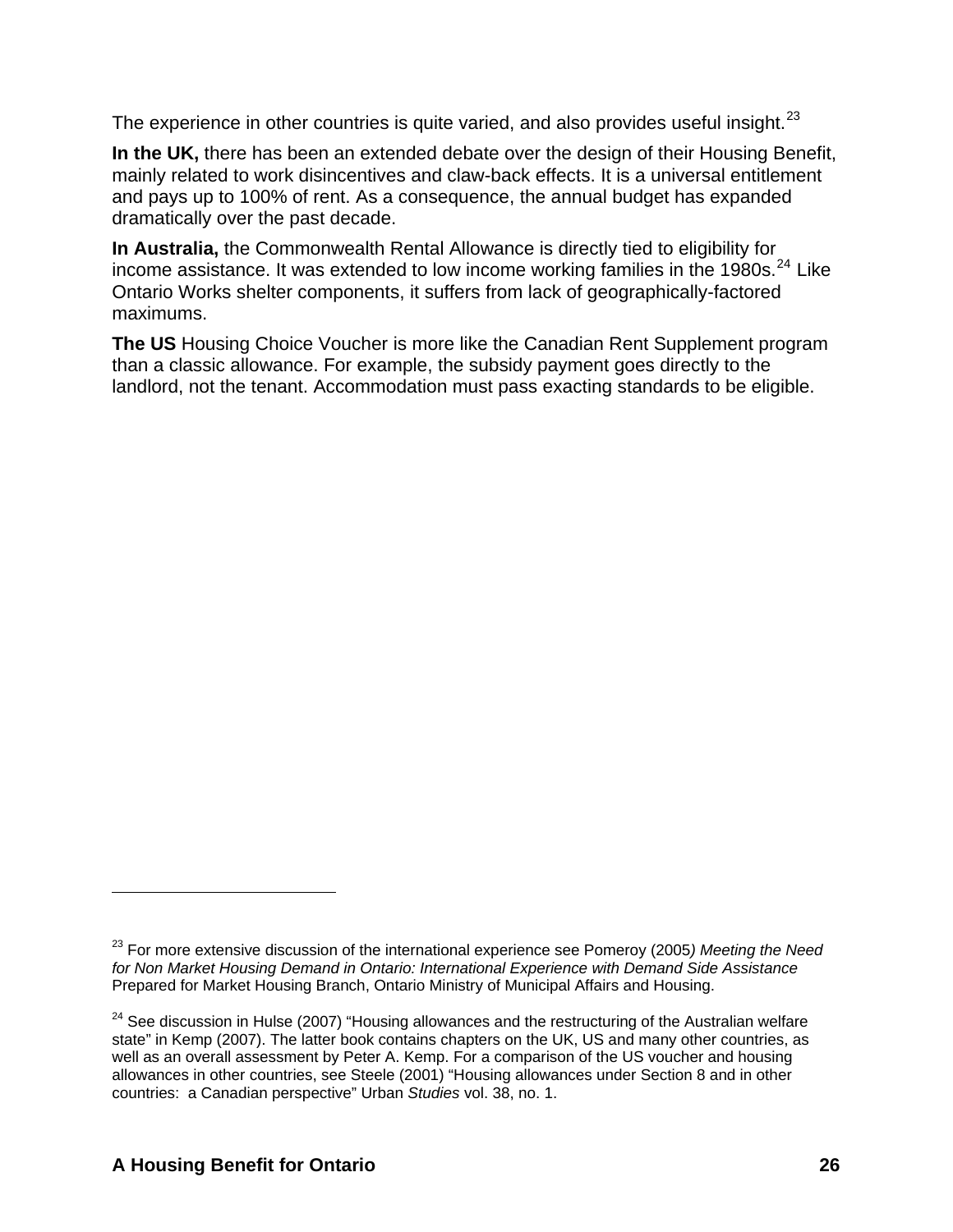The experience in other countries is quite varied, and also provides useful insight. $^{23}$  $^{23}$  $^{23}$ 

**In the UK,** there has been an extended debate over the design of their Housing Benefit, mainly related to work disincentives and claw-back effects. It is a universal entitlement and pays up to 100% of rent. As a consequence, the annual budget has expanded dramatically over the past decade.

**In Australia,** the Commonwealth Rental Allowance is directly tied to eligibility for income assistance. It was extended to low income working families in the 1980s. $^{24}$  $^{24}$  $^{24}$  Like Ontario Works shelter components, it suffers from lack of geographically-factored maximums.

**The US** Housing Choice Voucher is more like the Canadian Rent Supplement program than a classic allowance. For example, the subsidy payment goes directly to the landlord, not the tenant. Accommodation must pass exacting standards to be eligible.

1

<span id="page-25-0"></span><sup>23</sup> For more extensive discussion of the international experience see Pomeroy (2005*) Meeting the Need for Non Market Housing Demand in Ontario: International Experience with Demand Side Assistance* Prepared for Market Housing Branch, Ontario Ministry of Municipal Affairs and Housing.

<span id="page-25-1"></span> $24$  See discussion in Hulse (2007) "Housing allowances and the restructuring of the Australian welfare state" in Kemp (2007). The latter book contains chapters on the UK, US and many other countries, as well as an overall assessment by Peter A. Kemp. For a comparison of the US voucher and housing allowances in other countries, see Steele (2001) "Housing allowances under Section 8 and in other countries: a Canadian perspective" Urban *Studies* vol. 38, no. 1.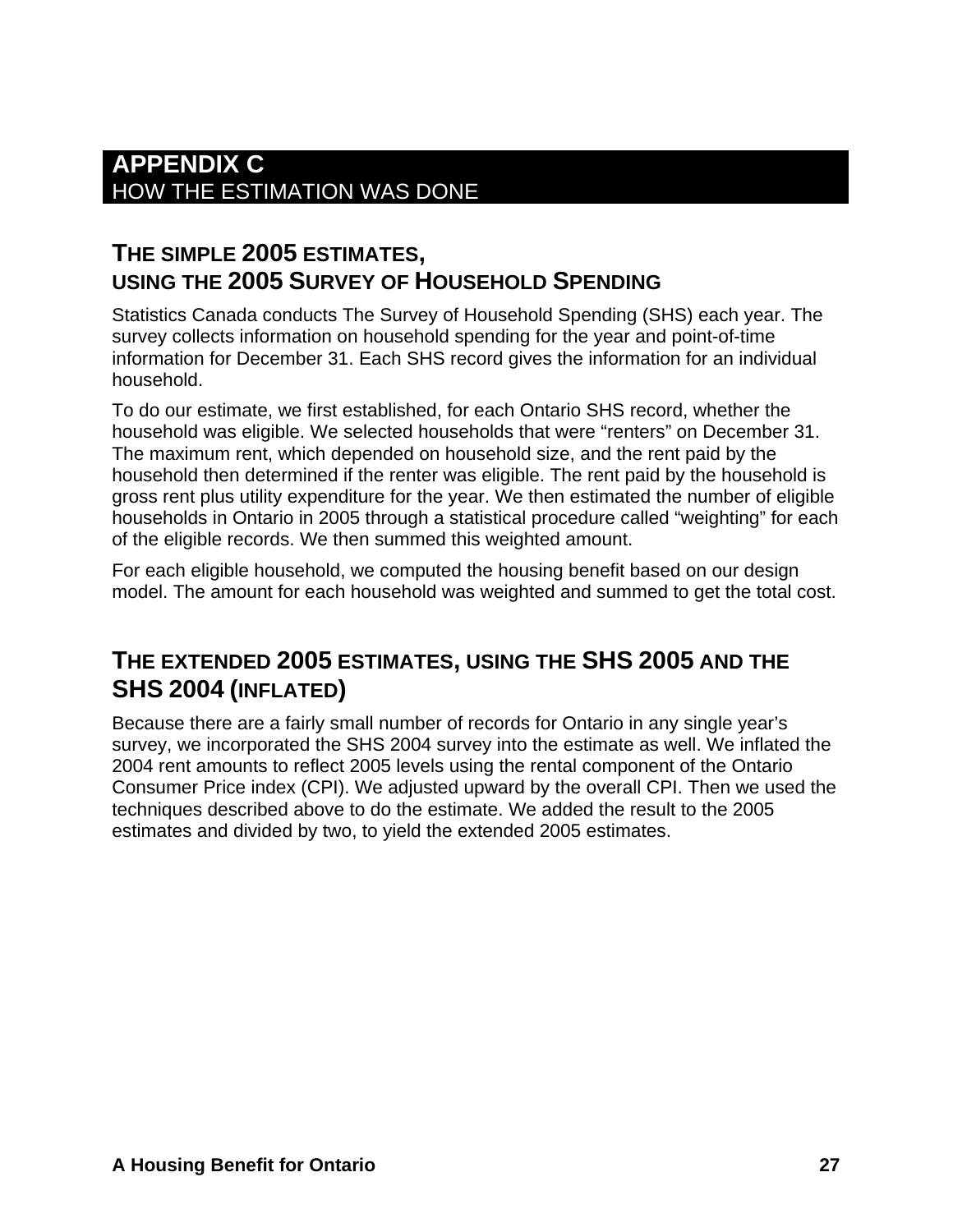# <span id="page-26-0"></span>**APPENDIX C** HOW THE ESTIMATION WAS DONE

## **THE SIMPLE 2005 ESTIMATES, USING THE 2005 SURVEY OF HOUSEHOLD SPENDING**

Statistics Canada conducts The Survey of Household Spending (SHS) each year. The survey collects information on household spending for the year and point-of-time information for December 31. Each SHS record gives the information for an individual household.

To do our estimate, we first established, for each Ontario SHS record, whether the household was eligible. We selected households that were "renters" on December 31. The maximum rent, which depended on household size, and the rent paid by the household then determined if the renter was eligible. The rent paid by the household is gross rent plus utility expenditure for the year. We then estimated the number of eligible households in Ontario in 2005 through a statistical procedure called "weighting" for each of the eligible records. We then summed this weighted amount.

For each eligible household, we computed the housing benefit based on our design model. The amount for each household was weighted and summed to get the total cost.

## **THE EXTENDED 2005 ESTIMATES, USING THE SHS 2005 AND THE SHS 2004 (INFLATED)**

Because there are a fairly small number of records for Ontario in any single year's survey, we incorporated the SHS 2004 survey into the estimate as well. We inflated the 2004 rent amounts to reflect 2005 levels using the rental component of the Ontario Consumer Price index (CPI). We adjusted upward by the overall CPI. Then we used the techniques described above to do the estimate. We added the result to the 2005 estimates and divided by two, to yield the extended 2005 estimates.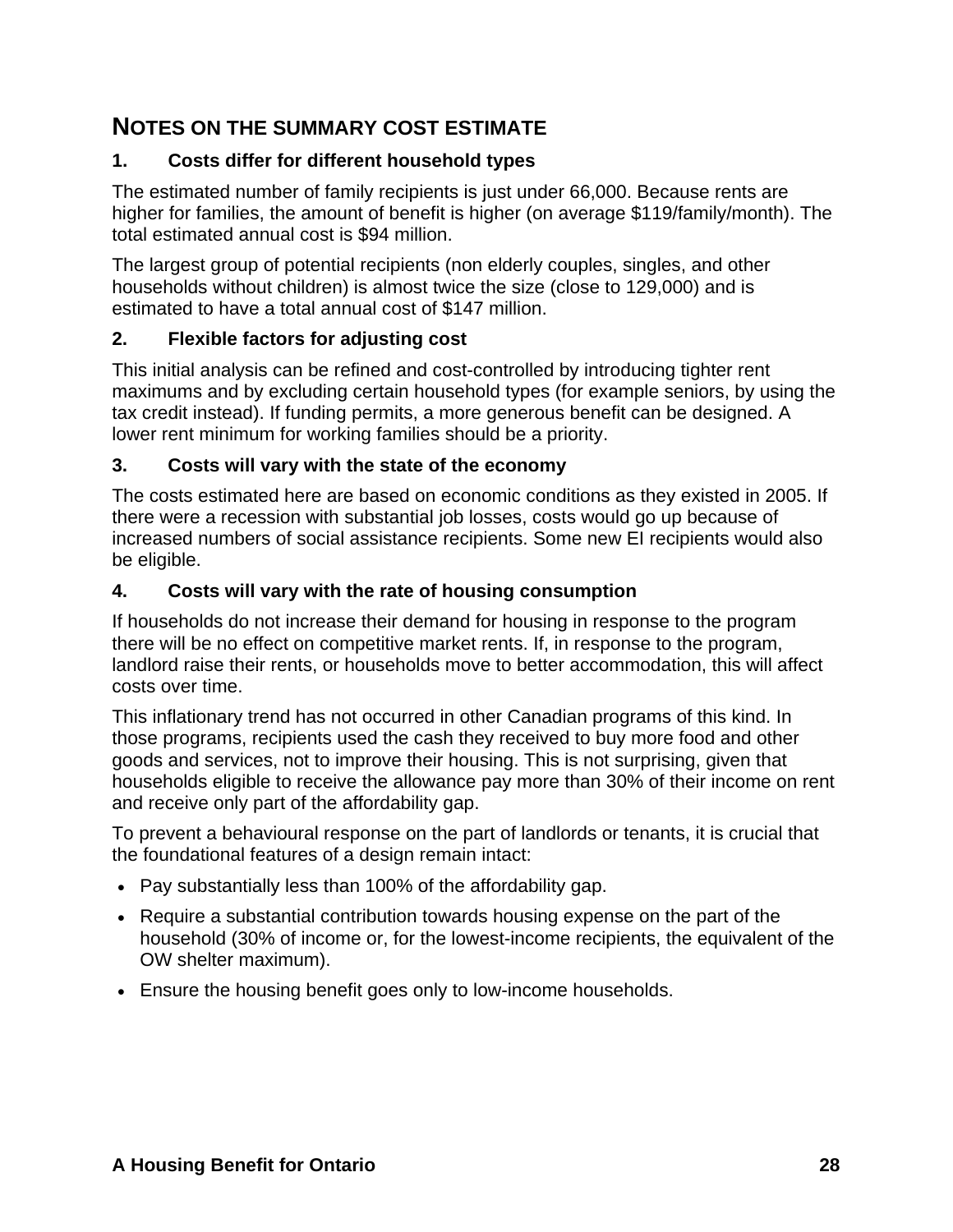## <span id="page-27-0"></span>**NOTES ON THE SUMMARY COST ESTIMATE**

## **1. Costs differ for different household types**

The estimated number of family recipients is just under 66,000. Because rents are higher for families, the amount of benefit is higher (on average \$119/family/month). The total estimated annual cost is \$94 million.

The largest group of potential recipients (non elderly couples, singles, and other households without children) is almost twice the size (close to 129,000) and is estimated to have a total annual cost of \$147 million.

## **2. Flexible factors for adjusting cost**

This initial analysis can be refined and cost-controlled by introducing tighter rent maximums and by excluding certain household types (for example seniors, by using the tax credit instead). If funding permits, a more generous benefit can be designed. A lower rent minimum for working families should be a priority.

#### **3. Costs will vary with the state of the economy**

The costs estimated here are based on economic conditions as they existed in 2005. If there were a recession with substantial job losses, costs would go up because of increased numbers of social assistance recipients. Some new EI recipients would also be eligible.

#### **4. Costs will vary with the rate of housing consumption**

If households do not increase their demand for housing in response to the program there will be no effect on competitive market rents. If, in response to the program, landlord raise their rents, or households move to better accommodation, this will affect costs over time.

This inflationary trend has not occurred in other Canadian programs of this kind. In those programs, recipients used the cash they received to buy more food and other goods and services, not to improve their housing. This is not surprising, given that households eligible to receive the allowance pay more than 30% of their income on rent and receive only part of the affordability gap.

To prevent a behavioural response on the part of landlords or tenants, it is crucial that the foundational features of a design remain intact:

- Pay substantially less than 100% of the affordability gap.
- Require a substantial contribution towards housing expense on the part of the household (30% of income or, for the lowest-income recipients, the equivalent of the OW shelter maximum).
- Ensure the housing benefit goes only to low-income households.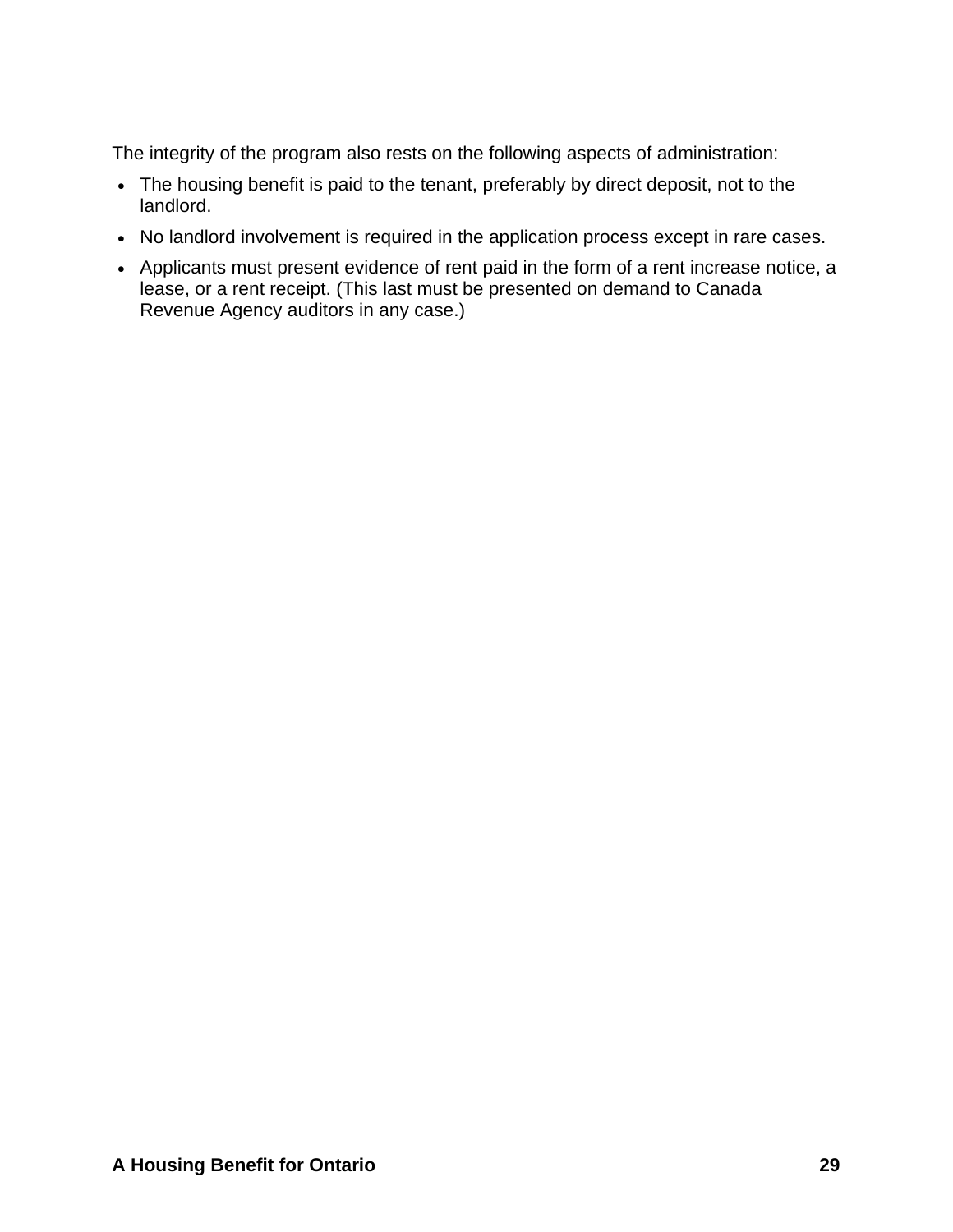The integrity of the program also rests on the following aspects of administration:

- The housing benefit is paid to the tenant, preferably by direct deposit, not to the landlord.
- No landlord involvement is required in the application process except in rare cases.
- Applicants must present evidence of rent paid in the form of a rent increase notice, a lease, or a rent receipt. (This last must be presented on demand to Canada Revenue Agency auditors in any case.)